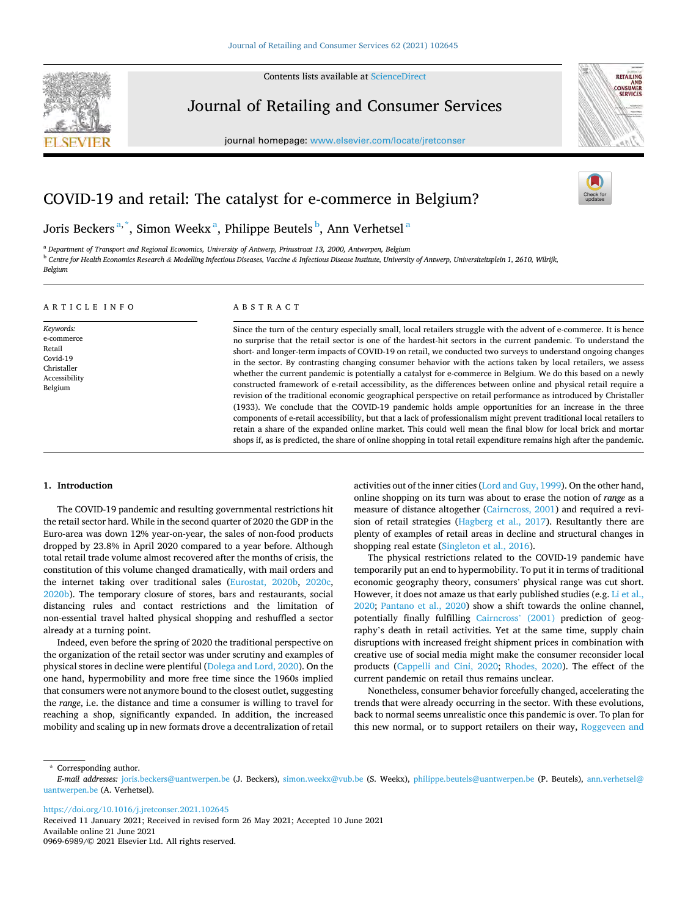Contents lists available at [ScienceDirect](www.sciencedirect.com/science/journal/09696989)



Journal of Retailing and Consumer Services

journal homepage: [www.elsevier.com/locate/jretconser](https://www.elsevier.com/locate/jretconser)



# COVID-19 and retail: The catalyst for e-commerce in Belgium?

Joris Beckers $^{\mathrm{a},\mathrm{*}}$ , Simon Weekx $^{\mathrm{a}}$ , Philippe Beutels $^{\mathrm{b}}$ , Ann Verhetsel $^{\mathrm{a}}$ 

<sup>a</sup> *Department of Transport and Regional Economics, University of Antwerp, Prinsstraat 13, 2000, Antwerpen, Belgium*  <sup>b</sup> *Centre for Health Economics Research & Modelling Infectious Diseases, Vaccine & Infectious Disease Institute, University of Antwerp, Universiteitsplein 1, 2610, Wilrijk, Belgium* 

#### A R T I C L E I N F O *Keywords:*  e-commerce Retail Covid-19 Christaller Accessibility Belgium ABSTRACT Since the turn of the century especially small, local retailers struggle with the advent of e-commerce. It is hence no surprise that the retail sector is one of the hardest-hit sectors in the current pandemic. To understand the short- and longer-term impacts of COVID-19 on retail, we conducted two surveys to understand ongoing changes in the sector. By contrasting changing consumer behavior with the actions taken by local retailers, we assess whether the current pandemic is potentially a catalyst for e-commerce in Belgium. We do this based on a newly constructed framework of e-retail accessibility, as the differences between online and physical retail require a revision of the traditional economic geographical perspective on retail performance as introduced by Christaller (1933). We conclude that the COVID-19 pandemic holds ample opportunities for an increase in the three components of e-retail accessibility, but that a lack of professionalism might prevent traditional local retailers to retain a share of the expanded online market. This could well mean the final blow for local brick and mortar shops if, as is predicted, the share of online shopping in total retail expenditure remains high after the pandemic.

# **1. Introduction**

The COVID-19 pandemic and resulting governmental restrictions hit the retail sector hard. While in the second quarter of 2020 the GDP in the Euro-area was down 12% year-on-year, the sales of non-food products dropped by 23.8% in April 2020 compared to a year before. Although total retail trade volume almost recovered after the months of crisis, the constitution of this volume changed dramatically, with mail orders and the internet taking over traditional sales [\(Eurostat, 2020b,](#page-10-0) [2020c](#page-10-0), [2020b\)](#page-10-0). The temporary closure of stores, bars and restaurants, social distancing rules and contact restrictions and the limitation of non-essential travel halted physical shopping and reshuffled a sector already at a turning point.

Indeed, even before the spring of 2020 the traditional perspective on the organization of the retail sector was under scrutiny and examples of physical stores in decline were plentiful ([Dolega and Lord, 2020\)](#page-10-0). On the one hand, hypermobility and more free time since the 1960s implied that consumers were not anymore bound to the closest outlet, suggesting the *range*, i.e. the distance and time a consumer is willing to travel for reaching a shop, significantly expanded. In addition, the increased mobility and scaling up in new formats drove a decentralization of retail activities out of the inner cities [\(Lord and Guy, 1999\)](#page-10-0). On the other hand, online shopping on its turn was about to erase the notion of *range* as a measure of distance altogether [\(Cairncross, 2001\)](#page-10-0) and required a revision of retail strategies [\(Hagberg et al., 2017\)](#page-10-0). Resultantly there are plenty of examples of retail areas in decline and structural changes in shopping real estate ([Singleton et al., 2016\)](#page-11-0).

The physical restrictions related to the COVID-19 pandemic have temporarily put an end to hypermobility. To put it in terms of traditional economic geography theory, consumers' physical range was cut short. However, it does not amaze us that early published studies (e.g. Li et al., [2020;](#page-10-0) [Pantano et al., 2020\)](#page-10-0) show a shift towards the online channel, potentially finally fulfilling [Cairncross](#page-10-0)' (2001) prediction of geography's death in retail activities. Yet at the same time, supply chain disruptions with increased freight shipment prices in combination with creative use of social media might make the consumer reconsider local products ([Cappelli and Cini, 2020](#page-10-0); [Rhodes, 2020\)](#page-11-0). The effect of the current pandemic on retail thus remains unclear.

Nonetheless, consumer behavior forcefully changed, accelerating the trends that were already occurring in the sector. With these evolutions, back to normal seems unrealistic once this pandemic is over. To plan for this new normal, or to support retailers on their way, [Roggeveen and](#page-11-0) 

\* Corresponding author.

<https://doi.org/10.1016/j.jretconser.2021.102645>

Available online 21 June 2021 0969-6989/© 2021 Elsevier Ltd. All rights reserved. Received 11 January 2021; Received in revised form 26 May 2021; Accepted 10 June 2021

*E-mail addresses:* [joris.beckers@uantwerpen.be](mailto:joris.beckers@uantwerpen.be) (J. Beckers), [simon.weekx@vub.be](mailto:simon.weekx@vub.be) (S. Weekx), [philippe.beutels@uantwerpen.be](mailto:philippe.beutels@uantwerpen.be) (P. Beutels), [ann.verhetsel@](mailto:ann.verhetsel@uantwerpen.be)  [uantwerpen.be](mailto:ann.verhetsel@uantwerpen.be) (A. Verhetsel).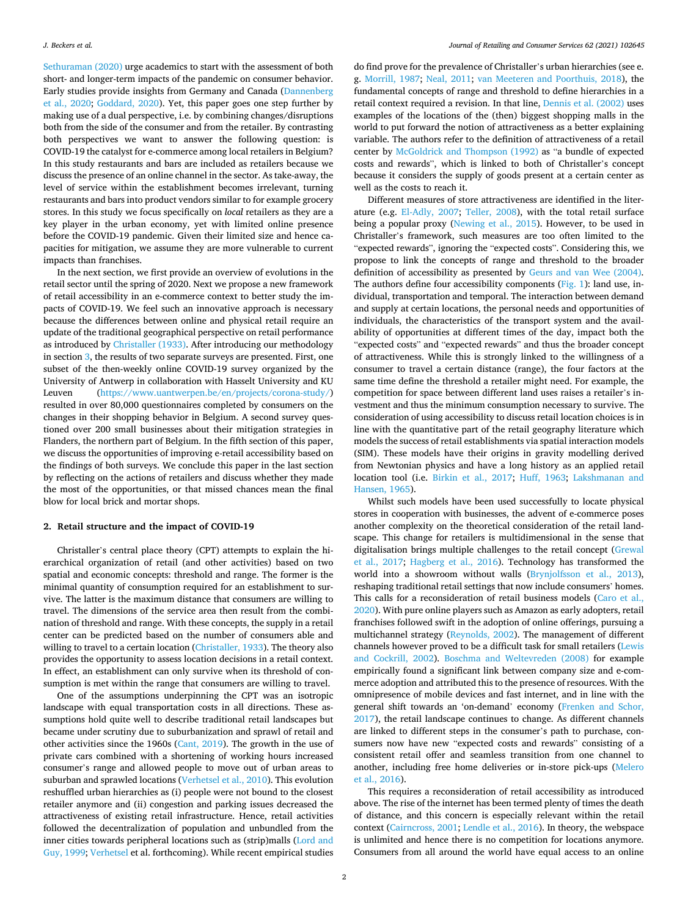<span id="page-1-0"></span>[Sethuraman \(2020\)](#page-11-0) urge academics to start with the assessment of both short- and longer-term impacts of the pandemic on consumer behavior. Early studies provide insights from Germany and Canada ([Dannenberg](#page-10-0)  [et al., 2020;](#page-10-0) [Goddard, 2020\)](#page-10-0). Yet, this paper goes one step further by making use of a dual perspective, i.e. by combining changes/disruptions both from the side of the consumer and from the retailer. By contrasting both perspectives we want to answer the following question: is COVID-19 the catalyst for e-commerce among local retailers in Belgium? In this study restaurants and bars are included as retailers because we discuss the presence of an online channel in the sector. As take-away, the level of service within the establishment becomes irrelevant, turning restaurants and bars into product vendors similar to for example grocery stores. In this study we focus specifically on *local* retailers as they are a key player in the urban economy, yet with limited online presence before the COVID-19 pandemic. Given their limited size and hence capacities for mitigation, we assume they are more vulnerable to current impacts than franchises.

In the next section, we first provide an overview of evolutions in the retail sector until the spring of 2020. Next we propose a new framework of retail accessibility in an e-commerce context to better study the impacts of COVID-19. We feel such an innovative approach is necessary because the differences between online and physical retail require an update of the traditional geographical perspective on retail performance as introduced by [Christaller \(1933\)](#page-10-0). After introducing our methodology in section [3,](#page-3-0) the results of two separate surveys are presented. First, one subset of the then-weekly online COVID-19 survey organized by the University of Antwerp in collaboration with Hasselt University and KU Leuven ([https://www.uantwerpen.be/en/projects/corona-study/\)](https://www.uantwerpen.be/en/projects/corona-study/) resulted in over 80,000 questionnaires completed by consumers on the changes in their shopping behavior in Belgium. A second survey questioned over 200 small businesses about their mitigation strategies in Flanders, the northern part of Belgium. In the fifth section of this paper, we discuss the opportunities of improving e-retail accessibility based on the findings of both surveys. We conclude this paper in the last section by reflecting on the actions of retailers and discuss whether they made the most of the opportunities, or that missed chances mean the final blow for local brick and mortar shops.

### **2. Retail structure and the impact of COVID-19**

Christaller's central place theory (CPT) attempts to explain the hierarchical organization of retail (and other activities) based on two spatial and economic concepts: threshold and range. The former is the minimal quantity of consumption required for an establishment to survive. The latter is the maximum distance that consumers are willing to travel. The dimensions of the service area then result from the combination of threshold and range. With these concepts, the supply in a retail center can be predicted based on the number of consumers able and willing to travel to a certain location [\(Christaller, 1933\)](#page-10-0). The theory also provides the opportunity to assess location decisions in a retail context. In effect, an establishment can only survive when its threshold of consumption is met within the range that consumers are willing to travel.

One of the assumptions underpinning the CPT was an isotropic landscape with equal transportation costs in all directions. These assumptions hold quite well to describe traditional retail landscapes but became under scrutiny due to suburbanization and sprawl of retail and other activities since the 1960s ([Cant, 2019\)](#page-10-0). The growth in the use of private cars combined with a shortening of working hours increased consumer's range and allowed people to move out of urban areas to suburban and sprawled locations [\(Verhetsel et al., 2010](#page-11-0)). This evolution reshuffled urban hierarchies as (i) people were not bound to the closest retailer anymore and (ii) congestion and parking issues decreased the attractiveness of existing retail infrastructure. Hence, retail activities followed the decentralization of population and unbundled from the inner cities towards peripheral locations such as (strip)malls ([Lord and](#page-10-0)  [Guy, 1999](#page-10-0); [Verhetsel](#page-11-0) et al. forthcoming). While recent empirical studies

do find prove for the prevalence of Christaller's urban hierarchies (see e. g. [Morrill, 1987;](#page-10-0) [Neal, 2011](#page-10-0); [van Meeteren and Poorthuis, 2018](#page-11-0)), the fundamental concepts of range and threshold to define hierarchies in a retail context required a revision. In that line, [Dennis et al. \(2002\)](#page-10-0) uses examples of the locations of the (then) biggest shopping malls in the world to put forward the notion of attractiveness as a better explaining variable. The authors refer to the definition of attractiveness of a retail center by [McGoldrick and Thompson \(1992\)](#page-10-0) as "a bundle of expected costs and rewards", which is linked to both of Christaller's concept because it considers the supply of goods present at a certain center as well as the costs to reach it.

Different measures of store attractiveness are identified in the literature (e.g. [El-Adly, 2007](#page-10-0); [Teller, 2008](#page-11-0)), with the total retail surface being a popular proxy ([Newing et al., 2015\)](#page-10-0). However, to be used in Christaller's framework, such measures are too often limited to the "expected rewards", ignoring the "expected costs". Considering this, we propose to link the concepts of range and threshold to the broader definition of accessibility as presented by [Geurs and van Wee \(2004\)](#page-10-0). The authors define four accessibility components [\(Fig. 1](#page-2-0)): land use, individual, transportation and temporal. The interaction between demand and supply at certain locations, the personal needs and opportunities of individuals, the characteristics of the transport system and the availability of opportunities at different times of the day, impact both the "expected costs" and "expected rewards" and thus the broader concept of attractiveness. While this is strongly linked to the willingness of a consumer to travel a certain distance (range), the four factors at the same time define the threshold a retailer might need. For example, the competition for space between different land uses raises a retailer's investment and thus the minimum consumption necessary to survive. The consideration of using accessibility to discuss retail location choices is in line with the quantitative part of the retail geography literature which models the success of retail establishments via spatial interaction models (SIM). These models have their origins in gravity modelling derived from Newtonian physics and have a long history as an applied retail location tool (i.e. [Birkin et al., 2017;](#page-9-0) [Huff, 1963](#page-10-0); [Lakshmanan and](#page-10-0)  [Hansen, 1965](#page-10-0)).

Whilst such models have been used successfully to locate physical stores in cooperation with businesses, the advent of e-commerce poses another complexity on the theoretical consideration of the retail landscape. This change for retailers is multidimensional in the sense that digitalisation brings multiple challenges to the retail concept [\(Grewal](#page-10-0)  [et al., 2017](#page-10-0); [Hagberg et al., 2016](#page-10-0)). Technology has transformed the world into a showroom without walls [\(Brynjolfsson et al., 2013](#page-10-0)), reshaping traditional retail settings that now include consumers' homes. This calls for a reconsideration of retail business models [\(Caro et al.,](#page-10-0)  [2020\)](#page-10-0). With pure online players such as Amazon as early adopters, retail franchises followed swift in the adoption of online offerings, pursuing a multichannel strategy ([Reynolds, 2002](#page-11-0)). The management of different channels however proved to be a difficult task for small retailers ([Lewis](#page-10-0)  [and Cockrill, 2002\)](#page-10-0). [Boschma and Weltevreden \(2008\)](#page-10-0) for example empirically found a significant link between company size and e-commerce adoption and attributed this to the presence of resources. With the omnipresence of mobile devices and fast internet, and in line with the general shift towards an 'on-demand' economy [\(Frenken and Schor,](#page-10-0)  [2017\)](#page-10-0), the retail landscape continues to change. As different channels are linked to different steps in the consumer's path to purchase, consumers now have new "expected costs and rewards" consisting of a consistent retail offer and seamless transition from one channel to another, including free home deliveries or in-store pick-ups [\(Melero](#page-10-0)  [et al., 2016\)](#page-10-0).

This requires a reconsideration of retail accessibility as introduced above. The rise of the internet has been termed plenty of times the death of distance, and this concern is especially relevant within the retail context ([Cairncross, 2001; Lendle et al., 2016](#page-10-0)). In theory, the webspace is unlimited and hence there is no competition for locations anymore. Consumers from all around the world have equal access to an online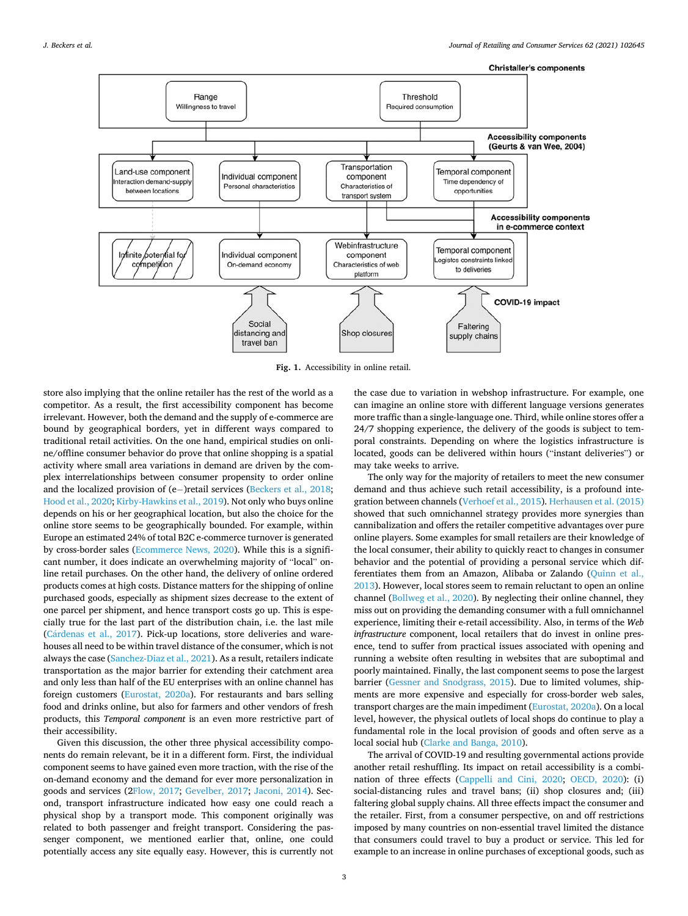<span id="page-2-0"></span>

**Fig. 1.** Accessibility in online retail.

store also implying that the online retailer has the rest of the world as a competitor. As a result, the first accessibility component has become irrelevant. However, both the demand and the supply of e-commerce are bound by geographical borders, yet in different ways compared to traditional retail activities. On the one hand, empirical studies on online/offline consumer behavior do prove that online shopping is a spatial activity where small area variations in demand are driven by the complex interrelationships between consumer propensity to order online and the localized provision of (e− )retail services [\(Beckers et al., 2018](#page-9-0); [Hood et al., 2020; Kirby-Hawkins et al., 2019\)](#page-10-0). Not only who buys online depends on his or her geographical location, but also the choice for the online store seems to be geographically bounded. For example, within Europe an estimated 24% of total B2C e-commerce turnover is generated by cross-border sales [\(Ecommerce News, 2020\)](#page-10-0). While this is a significant number, it does indicate an overwhelming majority of "local" online retail purchases. On the other hand, the delivery of online ordered products comes at high costs. Distance matters for the shipping of online purchased goods, especially as shipment sizes decrease to the extent of one parcel per shipment, and hence transport costs go up. This is especially true for the last part of the distribution chain, i.e. the last mile (Cárdenas et al., 2017). Pick-up locations, store deliveries and warehouses all need to be within travel distance of the consumer, which is not always the case ([Sanchez-Diaz et al., 2021](#page-11-0)). As a result, retailers indicate transportation as the major barrier for extending their catchment area and only less than half of the EU enterprises with an online channel has foreign customers ([Eurostat, 2020a\)](#page-10-0). For restaurants and bars selling food and drinks online, but also for farmers and other vendors of fresh products, this *Temporal component* is an even more restrictive part of their accessibility.

Given this discussion, the other three physical accessibility components do remain relevant, be it in a different form. First, the individual component seems to have gained even more traction, with the rise of the on-demand economy and the demand for ever more personalization in goods and services ([2Flow, 2017](#page-10-0); [Gevelber, 2017](#page-10-0); [Jaconi, 2014](#page-10-0)). Second, transport infrastructure indicated how easy one could reach a physical shop by a transport mode. This component originally was related to both passenger and freight transport. Considering the passenger component, we mentioned earlier that, online, one could potentially access any site equally easy. However, this is currently not

the case due to variation in webshop infrastructure. For example, one can imagine an online store with different language versions generates more traffic than a single-language one. Third, while online stores offer a 24/7 shopping experience, the delivery of the goods is subject to temporal constraints. Depending on where the logistics infrastructure is located, goods can be delivered within hours ("instant deliveries") or may take weeks to arrive.

The only way for the majority of retailers to meet the new consumer demand and thus achieve such retail accessibility, is a profound integration between channels [\(Verhoef et al., 2015\)](#page-11-0). [Herhausen et al. \(2015\)](#page-10-0)  showed that such omnichannel strategy provides more synergies than cannibalization and offers the retailer competitive advantages over pure online players. Some examples for small retailers are their knowledge of the local consumer, their ability to quickly react to changes in consumer behavior and the potential of providing a personal service which differentiates them from an Amazon, Alibaba or Zalando [\(Quinn et al.,](#page-10-0)  [2013\)](#page-10-0). However, local stores seem to remain reluctant to open an online channel [\(Bollweg et al., 2020\)](#page-10-0). By neglecting their online channel, they miss out on providing the demanding consumer with a full omnichannel experience, limiting their e-retail accessibility. Also, in terms of the *Web infrastructure* component, local retailers that do invest in online presence, tend to suffer from practical issues associated with opening and running a website often resulting in websites that are suboptimal and poorly maintained. Finally, the last component seems to pose the largest barrier ([Gessner and Snodgrass, 2015](#page-10-0)). Due to limited volumes, shipments are more expensive and especially for cross-border web sales, transport charges are the main impediment ([Eurostat, 2020a](#page-10-0)). On a local level, however, the physical outlets of local shops do continue to play a fundamental role in the local provision of goods and often serve as a local social hub [\(Clarke and Banga, 2010\)](#page-10-0).

The arrival of COVID-19 and resulting governmental actions provide another retail reshuffling. Its impact on retail accessibility is a combination of three effects ([Cappelli and Cini, 2020](#page-10-0); [OECD, 2020\)](#page-10-0): (i) social-distancing rules and travel bans; (ii) shop closures and; (iii) faltering global supply chains. All three effects impact the consumer and the retailer. First, from a consumer perspective, on and off restrictions imposed by many countries on non-essential travel limited the distance that consumers could travel to buy a product or service. This led for example to an increase in online purchases of exceptional goods, such as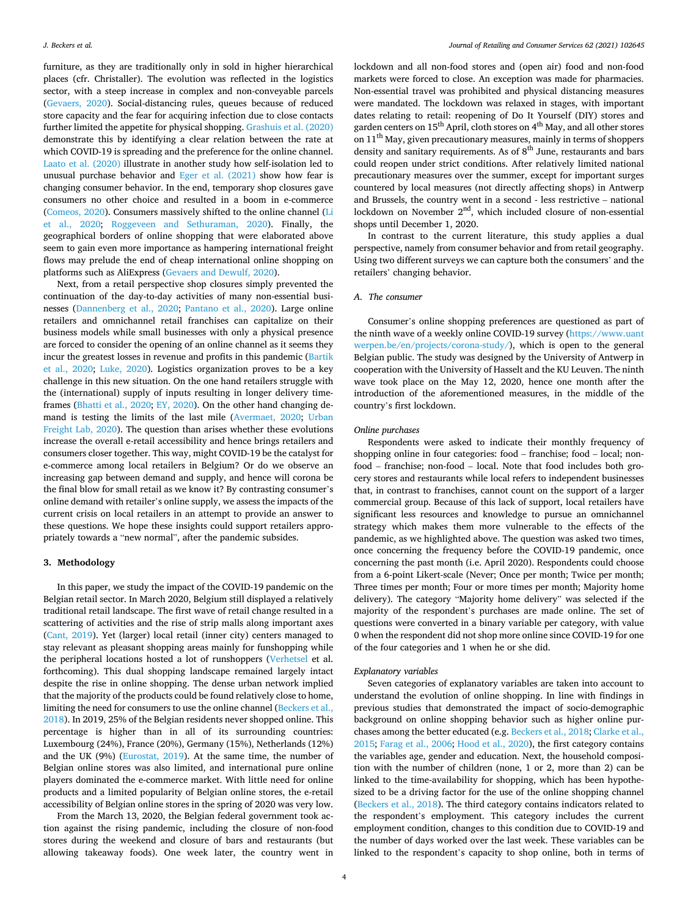<span id="page-3-0"></span>furniture, as they are traditionally only in sold in higher hierarchical places (cfr. Christaller). The evolution was reflected in the logistics sector, with a steep increase in complex and non-conveyable parcels ([Gevaers, 2020\)](#page-10-0). Social-distancing rules, queues because of reduced store capacity and the fear for acquiring infection due to close contacts further limited the appetite for physical shopping. [Grashuis et al. \(2020\)](#page-10-0)  demonstrate this by identifying a clear relation between the rate at which COVID-19 is spreading and the preference for the online channel. [Laato et al. \(2020\)](#page-10-0) illustrate in another study how self-isolation led to unusual purchase behavior and [Eger et al. \(2021\)](#page-10-0) show how fear is changing consumer behavior. In the end, temporary shop closures gave consumers no other choice and resulted in a boom in e-commerce ([Comeos, 2020\)](#page-10-0). Consumers massively shifted to the online channel [\(Li](#page-10-0)  [et al., 2020](#page-10-0); [Roggeveen and Sethuraman, 2020\)](#page-11-0). Finally, the geographical borders of online shopping that were elaborated above seem to gain even more importance as hampering international freight flows may prelude the end of cheap international online shopping on platforms such as AliExpress ([Gevaers and Dewulf, 2020](#page-10-0)).

Next, from a retail perspective shop closures simply prevented the continuation of the day-to-day activities of many non-essential businesses ([Dannenberg et al., 2020;](#page-10-0) [Pantano et al., 2020\)](#page-10-0). Large online retailers and omnichannel retail franchises can capitalize on their business models while small businesses with only a physical presence are forced to consider the opening of an online channel as it seems they incur the greatest losses in revenue and profits in this pandemic [\(Bartik](#page-9-0)  [et al., 2020;](#page-9-0) [Luke, 2020](#page-10-0)). Logistics organization proves to be a key challenge in this new situation. On the one hand retailers struggle with the (international) supply of inputs resulting in longer delivery timeframes ([Bhatti et al., 2020;](#page-9-0) [EY, 2020\)](#page-10-0). On the other hand changing demand is testing the limits of the last mile [\(Avermaet, 2020;](#page-9-0) [Urban](#page-11-0)  [Freight Lab, 2020](#page-11-0)). The question than arises whether these evolutions increase the overall e-retail accessibility and hence brings retailers and consumers closer together. This way, might COVID-19 be the catalyst for e-commerce among local retailers in Belgium? Or do we observe an increasing gap between demand and supply, and hence will corona be the final blow for small retail as we know it? By contrasting consumer's online demand with retailer's online supply, we assess the impacts of the current crisis on local retailers in an attempt to provide an answer to these questions. We hope these insights could support retailers appropriately towards a "new normal", after the pandemic subsides.

### **3. Methodology**

In this paper, we study the impact of the COVID-19 pandemic on the Belgian retail sector. In March 2020, Belgium still displayed a relatively traditional retail landscape. The first wave of retail change resulted in a scattering of activities and the rise of strip malls along important axes ([Cant, 2019](#page-10-0)). Yet (larger) local retail (inner city) centers managed to stay relevant as pleasant shopping areas mainly for funshopping while the peripheral locations hosted a lot of runshoppers ([Verhetsel](#page-11-0) et al. forthcoming). This dual shopping landscape remained largely intact despite the rise in online shopping. The dense urban network implied that the majority of the products could be found relatively close to home, limiting the need for consumers to use the online channel ([Beckers et al.,](#page-9-0)  [2018\)](#page-9-0). In 2019, 25% of the Belgian residents never shopped online. This percentage is higher than in all of its surrounding countries: Luxembourg (24%), France (20%), Germany (15%), Netherlands (12%) and the UK (9%) [\(Eurostat, 2019](#page-10-0)). At the same time, the number of Belgian online stores was also limited, and international pure online players dominated the e-commerce market. With little need for online products and a limited popularity of Belgian online stores, the e-retail accessibility of Belgian online stores in the spring of 2020 was very low.

From the March 13, 2020, the Belgian federal government took action against the rising pandemic, including the closure of non-food stores during the weekend and closure of bars and restaurants (but allowing takeaway foods). One week later, the country went in

lockdown and all non-food stores and (open air) food and non-food markets were forced to close. An exception was made for pharmacies. Non-essential travel was prohibited and physical distancing measures were mandated. The lockdown was relaxed in stages, with important dates relating to retail: reopening of Do It Yourself (DIY) stores and garden centers on 15<sup>th</sup> April, cloth stores on 4<sup>th</sup> May, and all other stores on 11th May, given precautionary measures, mainly in terms of shoppers density and sanitary requirements. As of  $8^{th}$  June, restaurants and bars could reopen under strict conditions. After relatively limited national precautionary measures over the summer, except for important surges countered by local measures (not directly affecting shops) in Antwerp and Brussels, the country went in a second - less restrictive – national lockdown on November 2nd, which included closure of non-essential shops until December 1, 2020.

In contrast to the current literature, this study applies a dual perspective, namely from consumer behavior and from retail geography. Using two different surveys we can capture both the consumers' and the retailers' changing behavior.

### *A. The consumer*

Consumer's online shopping preferences are questioned as part of the ninth wave of a weekly online COVID-19 survey (https://www.uant [werpen.be/en/projects/corona-study/\)](https://www.uantwerpen.be/en/projects/corona-study/), which is open to the general Belgian public. The study was designed by the University of Antwerp in cooperation with the University of Hasselt and the KU Leuven. The ninth wave took place on the May 12, 2020, hence one month after the introduction of the aforementioned measures, in the middle of the country's first lockdown.

#### *Online purchases*

Respondents were asked to indicate their monthly frequency of shopping online in four categories: food – franchise; food – local; nonfood – franchise; non-food – local. Note that food includes both grocery stores and restaurants while local refers to independent businesses that, in contrast to franchises, cannot count on the support of a larger commercial group. Because of this lack of support, local retailers have significant less resources and knowledge to pursue an omnichannel strategy which makes them more vulnerable to the effects of the pandemic, as we highlighted above. The question was asked two times, once concerning the frequency before the COVID-19 pandemic, once concerning the past month (i.e. April 2020). Respondents could choose from a 6-point Likert-scale (Never; Once per month; Twice per month; Three times per month; Four or more times per month; Majority home delivery). The category "Majority home delivery" was selected if the majority of the respondent's purchases are made online. The set of questions were converted in a binary variable per category, with value 0 when the respondent did not shop more online since COVID-19 for one of the four categories and 1 when he or she did.

#### *Explanatory variables*

Seven categories of explanatory variables are taken into account to understand the evolution of online shopping. In line with findings in previous studies that demonstrated the impact of socio-demographic background on online shopping behavior such as higher online purchases among the better educated (e.g. [Beckers et al., 2018](#page-9-0); [Clarke et al.,](#page-10-0)  [2015; Farag et al., 2006; Hood et al., 2020\)](#page-10-0), the first category contains the variables age, gender and education. Next, the household composition with the number of children (none, 1 or 2, more than 2) can be linked to the time-availability for shopping, which has been hypothesized to be a driving factor for the use of the online shopping channel ([Beckers et al., 2018](#page-9-0)). The third category contains indicators related to the respondent's employment. This category includes the current employment condition, changes to this condition due to COVID-19 and the number of days worked over the last week. These variables can be linked to the respondent's capacity to shop online, both in terms of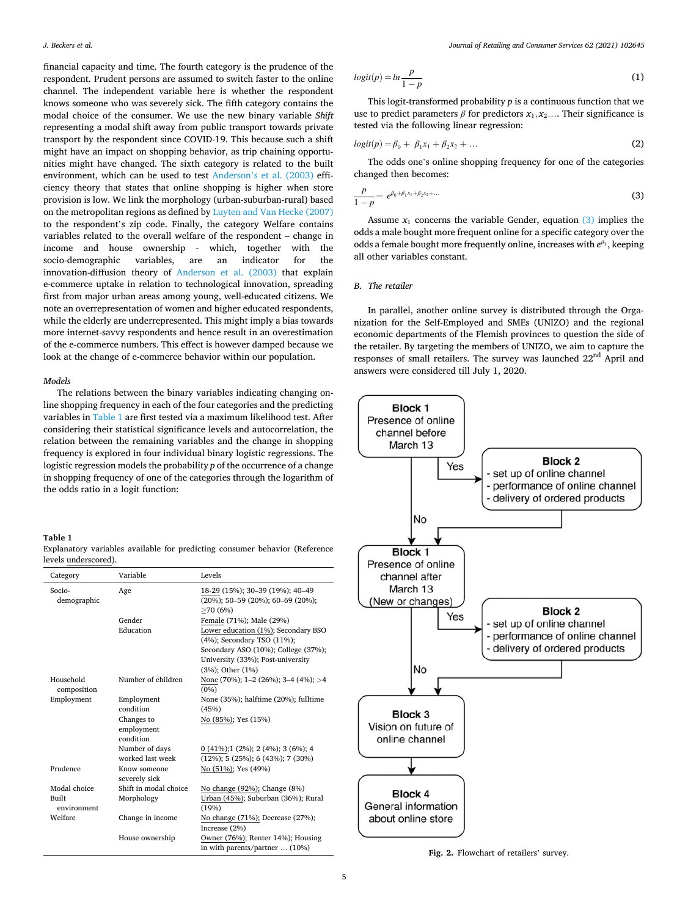<span id="page-4-0"></span>financial capacity and time. The fourth category is the prudence of the respondent. Prudent persons are assumed to switch faster to the online channel. The independent variable here is whether the respondent knows someone who was severely sick. The fifth category contains the modal choice of the consumer. We use the new binary variable *Shift*  representing a modal shift away from public transport towards private transport by the respondent since COVID-19. This because such a shift might have an impact on shopping behavior, as trip chaining opportunities might have changed. The sixth category is related to the built environment, which can be used to test Anderson'[s et al. \(2003\)](#page-9-0) efficiency theory that states that online shopping is higher when store provision is low. We link the morphology (urban-suburban-rural) based on the metropolitan regions as defined by [Luyten and Van Hecke \(2007\)](#page-10-0)  to the respondent's zip code. Finally, the category Welfare contains variables related to the overall welfare of the respondent – change in income and house ownership - which, together with the socio-demographic variables, are an indicator for the innovation-diffusion theory of [Anderson et al. \(2003\)](#page-9-0) that explain e-commerce uptake in relation to technological innovation, spreading first from major urban areas among young, well-educated citizens. We note an overrepresentation of women and higher educated respondents, while the elderly are underrepresented. This might imply a bias towards more internet-savvy respondents and hence result in an overestimation of the e-commerce numbers. This effect is however damped because we look at the change of e-commerce behavior within our population.

### *Models*

The relations between the binary variables indicating changing online shopping frequency in each of the four categories and the predicting variables in Table 1 are first tested via a maximum likelihood test. After considering their statistical significance levels and autocorrelation, the relation between the remaining variables and the change in shopping frequency is explored in four individual binary logistic regressions. The logistic regression models the probability *p* of the occurrence of a change in shopping frequency of one of the categories through the logarithm of the odds ratio in a logit function:

# **Table 1**

| Category                 | Variable                      | Levels                                                                                     |
|--------------------------|-------------------------------|--------------------------------------------------------------------------------------------|
| Socio-<br>demographic    | Age                           | 18-29 (15%); 30-39 (19%); 40-49<br>$(20\%)$ ; 50-59 $(20\%)$ ; 60-69 $(20\%)$ ;<br>>70(6%) |
|                          | Gender                        | Female (71%); Male (29%)                                                                   |
|                          | Education                     | Lower education (1%); Secondary BSO<br>(4%); Secondary TSO (11%);                          |
|                          |                               | Secondary ASO (10%); College (37%);                                                        |
|                          |                               | University (33%); Post-university                                                          |
|                          |                               | $(3%)$ ; Other $(1%)$                                                                      |
| Household<br>composition | Number of children            | None (70%); 1–2 (26%); 3–4 (4%); >4<br>$(0\%)$                                             |
| Employment               | Employment                    | None (35%); halftime (20%); fulltime                                                       |
|                          | condition                     | (45%)                                                                                      |
|                          | Changes to                    | No (85%); Yes (15%)                                                                        |
|                          | employment                    |                                                                                            |
|                          | condition                     |                                                                                            |
|                          | Number of days                | $0(41\%)$ ; 1 (2%); 2 (4%); 3 (6%); 4                                                      |
|                          | worked last week              | $(12\%)$ ; 5 $(25\%)$ ; 6 $(43\%)$ ; 7 $(30\%)$                                            |
| Prudence                 | Know someone<br>severely sick | No (51%); Yes (49%)                                                                        |
| Modal choice             | Shift in modal choice         | No change (92%); Change (8%)                                                               |
| Built<br>environment     | Morphology                    | Urban (45%); Suburban (36%); Rural<br>(19%)                                                |
| Welfare                  | Change in income              | No change (71%); Decrease (27%);<br>Increase (2%)                                          |
|                          | House ownership               | Owner (76%); Renter 14%); Housing<br>$in with$ parante/partner $(1006)$                    |

Explanatory variables available for predicting consumer behavior (Reference levels underscored).

$$
logit(p) = ln \frac{p}{1 - p}
$$
 (1)

This logit-transformed probability *p* is a continuous function that we use to predict parameters  $\beta$  for predictors  $x_1, x_2, \ldots$  Their significance is tested via the following linear regression:

$$
logit(p) = \beta_0 + \beta_1 x_1 + \beta_2 x_2 + \dots \tag{2}
$$

The odds one's online shopping frequency for one of the categories changed then becomes:

$$
\frac{p}{1-p} = e^{\beta_0 + \beta_1 x_1 + \beta_2 x_2 + \dots} \tag{3}
$$

Assume  $x_1$  concerns the variable Gender, equation  $(3)$  implies the odds a male bought more frequent online for a specific category over the odds a female bought more frequently online, increases with  $e^{\beta_1}$ , keeping all other variables constant.

## *B. The retailer*

In parallel, another online survey is distributed through the Organization for the Self-Employed and SMEs (UNIZO) and the regional economic departments of the Flemish provinces to question the side of the retailer. By targeting the members of UNIZO, we aim to capture the responses of small retailers. The survey was launched 22nd April and answers were considered till July 1, 2020.



in with parents/partner ... (10%)<br>**Fig. 2.** Flowchart of retailers' survey.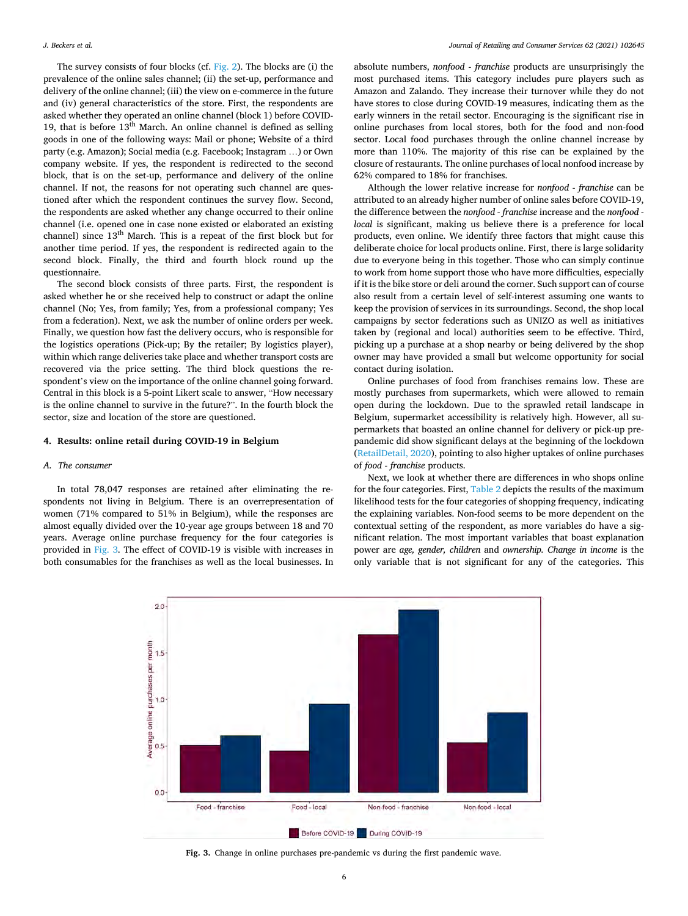<span id="page-5-0"></span>The survey consists of four blocks (cf. [Fig. 2](#page-4-0)). The blocks are (i) the prevalence of the online sales channel; (ii) the set-up, performance and delivery of the online channel; (iii) the view on e-commerce in the future and (iv) general characteristics of the store. First, the respondents are asked whether they operated an online channel (block 1) before COVID-19, that is before  $13<sup>th</sup>$  March. An online channel is defined as selling goods in one of the following ways: Mail or phone; Website of a third party (e.g. Amazon); Social media (e.g. Facebook; Instagram …) or Own company website. If yes, the respondent is redirected to the second block, that is on the set-up, performance and delivery of the online channel. If not, the reasons for not operating such channel are questioned after which the respondent continues the survey flow. Second, the respondents are asked whether any change occurred to their online channel (i.e. opened one in case none existed or elaborated an existing channel) since  $13<sup>th</sup>$  March. This is a repeat of the first block but for another time period. If yes, the respondent is redirected again to the second block. Finally, the third and fourth block round up the questionnaire.

The second block consists of three parts. First, the respondent is asked whether he or she received help to construct or adapt the online channel (No; Yes, from family; Yes, from a professional company; Yes from a federation). Next, we ask the number of online orders per week. Finally, we question how fast the delivery occurs, who is responsible for the logistics operations (Pick-up; By the retailer; By logistics player), within which range deliveries take place and whether transport costs are recovered via the price setting. The third block questions the respondent's view on the importance of the online channel going forward. Central in this block is a 5-point Likert scale to answer, "How necessary is the online channel to survive in the future?". In the fourth block the sector, size and location of the store are questioned.

### **4. Results: online retail during COVID-19 in Belgium**

#### *A. The consumer*

In total 78,047 responses are retained after eliminating the respondents not living in Belgium. There is an overrepresentation of women (71% compared to 51% in Belgium), while the responses are almost equally divided over the 10-year age groups between 18 and 70 years. Average online purchase frequency for the four categories is provided in Fig. 3. The effect of COVID-19 is visible with increases in both consumables for the franchises as well as the local businesses. In

absolute numbers, *nonfood - franchise* products are unsurprisingly the most purchased items. This category includes pure players such as Amazon and Zalando. They increase their turnover while they do not have stores to close during COVID-19 measures, indicating them as the early winners in the retail sector. Encouraging is the significant rise in online purchases from local stores, both for the food and non-food sector. Local food purchases through the online channel increase by more than 110%. The majority of this rise can be explained by the closure of restaurants. The online purchases of local nonfood increase by 62% compared to 18% for franchises.

Although the lower relative increase for *nonfood - franchise* can be attributed to an already higher number of online sales before COVID-19, the difference between the *nonfood - franchise* increase and the *nonfood local* is significant, making us believe there is a preference for local products, even online. We identify three factors that might cause this deliberate choice for local products online. First, there is large solidarity due to everyone being in this together. Those who can simply continue to work from home support those who have more difficulties, especially if it is the bike store or deli around the corner. Such support can of course also result from a certain level of self-interest assuming one wants to keep the provision of services in its surroundings. Second, the shop local campaigns by sector federations such as UNIZO as well as initiatives taken by (regional and local) authorities seem to be effective. Third, picking up a purchase at a shop nearby or being delivered by the shop owner may have provided a small but welcome opportunity for social contact during isolation.

Online purchases of food from franchises remains low. These are mostly purchases from supermarkets, which were allowed to remain open during the lockdown. Due to the sprawled retail landscape in Belgium, supermarket accessibility is relatively high. However, all supermarkets that boasted an online channel for delivery or pick-up prepandemic did show significant delays at the beginning of the lockdown ([RetailDetail, 2020](#page-11-0)), pointing to also higher uptakes of online purchases of *food - franchise* products.

Next, we look at whether there are differences in who shops online for the four categories. First, [Table 2](#page-6-0) depicts the results of the maximum likelihood tests for the four categories of shopping frequency, indicating the explaining variables. Non-food seems to be more dependent on the contextual setting of the respondent, as more variables do have a significant relation. The most important variables that boast explanation power are *age, gender, children* and *ownership. Change in income* is the only variable that is not significant for any of the categories. This



**Fig. 3.** Change in online purchases pre-pandemic vs during the first pandemic wave.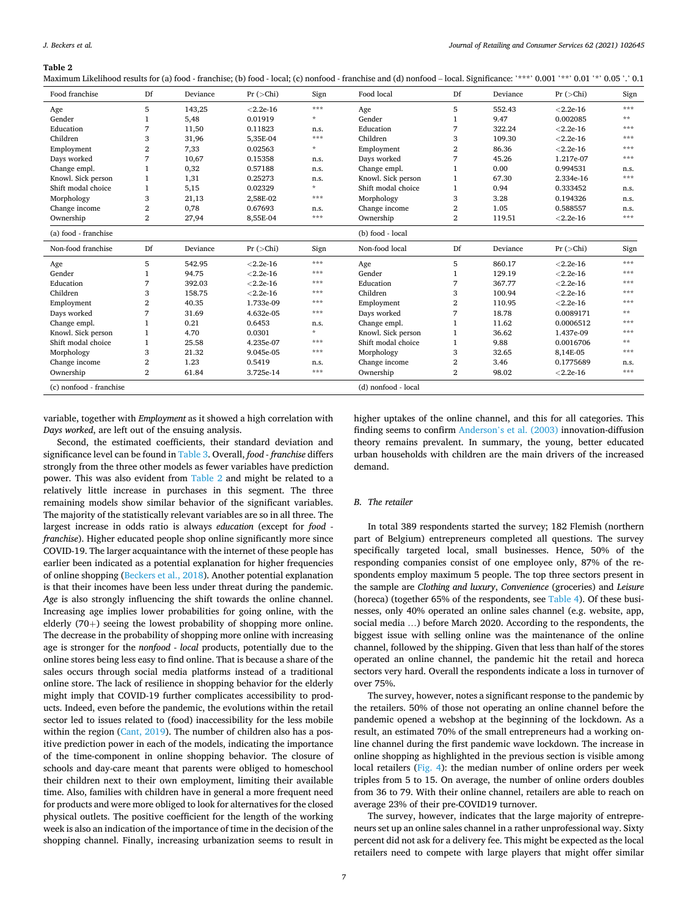<span id="page-6-0"></span>**Table 2** 

Maximum Likelihood results for (a) food - franchise; (b) food - local; (c) nonfood - franchise and (d) nonfood - local. Significance: '\*\*\*' 0.001 '\*\*' 0.01 '\*' 0.05 '.' 0.1

| Food franchise          | Df             | Deviance | Pr(>Chi)    | Sign    | Food local          | Df             | Deviance | Pr(>Chi)    | Sign |
|-------------------------|----------------|----------|-------------|---------|---------------------|----------------|----------|-------------|------|
| Age                     | 5              | 143,25   | $< 2.2e-16$ | ***     | Age                 | 5              | 552.43   | $< 2.2e-16$ | ***  |
| Gender                  | 1              | 5,48     | 0.01919     | $\star$ | Gender              | 1              | 9.47     | 0.002085    | **   |
| Education               | 7              | 11,50    | 0.11823     | n.s.    | Education           | 7              | 322.24   | $< 2.2e-16$ | ***  |
| Children                | 3              | 31,96    | 5,35E-04    | $* * *$ | Children            | 3              | 109.30   | $< 2.2e-16$ | ***  |
| Employment              | $\mathbf{2}$   | 7,33     | 0.02563     | $\star$ | Employment          | 2              | 86.36    | $< 2.2e-16$ | ***  |
| Days worked             | 7              | 10.67    | 0.15358     | n.s.    | Days worked         | 7              | 45.26    | 1.217e-07   | ***  |
| Change empl.            | 1              | 0,32     | 0.57188     | n.s.    | Change empl.        |                | 0.00     | 0.994531    | n.s. |
| Knowl. Sick person      | $\mathbf{1}$   | 1,31     | 0.25273     | n.s.    | Knowl. Sick person  | $\mathbf{1}$   | 67.30    | 2.334e-16   | ***  |
| Shift modal choice      | 1              | 5,15     | 0.02329     | $\Phi$  | Shift modal choice  | $\mathbf{1}$   | 0.94     | 0.333452    | n.s. |
| Morphology              | 3              | 21,13    | 2,58E-02    | ***     | Morphology          | 3              | 3.28     | 0.194326    | n.s. |
| Change income           | $\overline{2}$ | 0,78     | 0.67693     | n.s.    | Change income       | $\overline{2}$ | 1.05     | 0.588557    | n.s. |
| Ownership               | $\overline{2}$ | 27,94    | 8,55E-04    | ***     | Ownership           | $\overline{2}$ | 119.51   | $< 2.2e-16$ | ***  |
| (a) food - franchise    |                |          |             |         | (b) food - local    |                |          |             |      |
| Non-food franchise      | Df             | Deviance | Pr(>Chi)    | Sign    | Non-food local      | Df             | Deviance | Pr(>Chi)    | Sign |
| Age                     | 5              | 542.95   | $< 2.2e-16$ | ***     | Age                 | 5              | 860.17   | $< 2.2e-16$ | ***  |
| Gender                  | 1              | 94.75    | $< 2.2e-16$ | ***     | Gender              |                | 129.19   | $< 2.2e-16$ | ***  |
| Education               | 7              | 392.03   | $< 2.2e-16$ | ***     | Education           | 7              | 367.77   | $< 2.2e-16$ | ***  |
| Children                | 3              | 158.75   | $< 2.2e-16$ | ***     | Children            | 3              | 100.94   | $< 2.2e-16$ | ***  |
| Employment              | $\overline{2}$ | 40.35    | 1.733e-09   | ***     | Employment          | 2              | 110.95   | $< 2.2e-16$ | ***  |
| Days worked             | 7              | 31.69    | 4.632e-05   | ***     | Days worked         | 7              | 18.78    | 0.0089171   | **   |
| Change empl.            | 1              | 0.21     | 0.6453      | n.s.    | Change empl.        |                | 11.62    | 0.0006512   | ***  |
| Knowl. Sick person      | 1              | 4.70     | 0.0301      | $\star$ | Knowl. Sick person  |                | 36.62    | 1.437e-09   | ***  |
| Shift modal choice      | 1              | 25.58    | 4.235e-07   | ***     | Shift modal choice  |                | 9.88     | 0.0016706   | **   |
| Morphology              | 3              | 21.32    | 9.045e-05   | ***     | Morphology          | 3              | 32.65    | 8,14E-05    | ***  |
| Change income           | $\overline{2}$ | 1.23     | 0.5419      | n.s.    | Change income       | 2              | 3.46     | 0.1775689   | n.s. |
| Ownership               | $\overline{2}$ | 61.84    | 3.725e-14   | ***     | Ownership           | $\overline{2}$ | 98.02    | $< 2.2e-16$ | ***  |
| (c) nonfood - franchise |                |          |             |         | (d) nonfood - local |                |          |             |      |

variable, together with *Employment* as it showed a high correlation with *Days worked*, are left out of the ensuing analysis.

Second, the estimated coefficients, their standard deviation and significance level can be found in [Table 3](#page-7-0). Overall, *food - franchise* differs strongly from the three other models as fewer variables have prediction power. This was also evident from Table 2 and might be related to a relatively little increase in purchases in this segment. The three remaining models show similar behavior of the significant variables. The majority of the statistically relevant variables are so in all three. The largest increase in odds ratio is always *education* (except for *food franchise*). Higher educated people shop online significantly more since COVID-19. The larger acquaintance with the internet of these people has earlier been indicated as a potential explanation for higher frequencies of online shopping ([Beckers et al., 2018](#page-9-0)). Another potential explanation is that their incomes have been less under threat during the pandemic. *Age* is also strongly influencing the shift towards the online channel. Increasing age implies lower probabilities for going online, with the elderly (70+) seeing the lowest probability of shopping more online. The decrease in the probability of shopping more online with increasing age is stronger for the *nonfood - local* products, potentially due to the online stores being less easy to find online. That is because a share of the sales occurs through social media platforms instead of a traditional online store. The lack of resilience in shopping behavior for the elderly might imply that COVID-19 further complicates accessibility to products. Indeed, even before the pandemic, the evolutions within the retail sector led to issues related to (food) inaccessibility for the less mobile within the region [\(Cant, 2019](#page-10-0)). The number of children also has a positive prediction power in each of the models, indicating the importance of the time-component in online shopping behavior. The closure of schools and day-care meant that parents were obliged to homeschool their children next to their own employment, limiting their available time. Also, families with children have in general a more frequent need for products and were more obliged to look for alternatives for the closed physical outlets. The positive coefficient for the length of the working week is also an indication of the importance of time in the decision of the shopping channel. Finally, increasing urbanization seems to result in higher uptakes of the online channel, and this for all categories. This finding seems to confirm Anderson'[s et al. \(2003\)](#page-9-0) innovation-diffusion theory remains prevalent. In summary, the young, better educated urban households with children are the main drivers of the increased demand.

### *B. The retailer*

In total 389 respondents started the survey; 182 Flemish (northern part of Belgium) entrepreneurs completed all questions. The survey specifically targeted local, small businesses. Hence, 50% of the responding companies consist of one employee only, 87% of the respondents employ maximum 5 people. The top three sectors present in the sample are *Clothing and luxury*, *Convenience* (groceries) and *Leisure*  (horeca) (together 65% of the respondents, see [Table 4](#page-7-0)). Of these businesses, only 40% operated an online sales channel (e.g. website, app, social media …) before March 2020. According to the respondents, the biggest issue with selling online was the maintenance of the online channel, followed by the shipping. Given that less than half of the stores operated an online channel, the pandemic hit the retail and horeca sectors very hard. Overall the respondents indicate a loss in turnover of over 75%.

The survey, however, notes a significant response to the pandemic by the retailers. 50% of those not operating an online channel before the pandemic opened a webshop at the beginning of the lockdown. As a result, an estimated 70% of the small entrepreneurs had a working online channel during the first pandemic wave lockdown. The increase in online shopping as highlighted in the previous section is visible among local retailers [\(Fig. 4](#page-7-0)): the median number of online orders per week triples from 5 to 15. On average, the number of online orders doubles from 36 to 79. With their online channel, retailers are able to reach on average 23% of their pre-COVID19 turnover.

The survey, however, indicates that the large majority of entrepreneurs set up an online sales channel in a rather unprofessional way. Sixty percent did not ask for a delivery fee. This might be expected as the local retailers need to compete with large players that might offer similar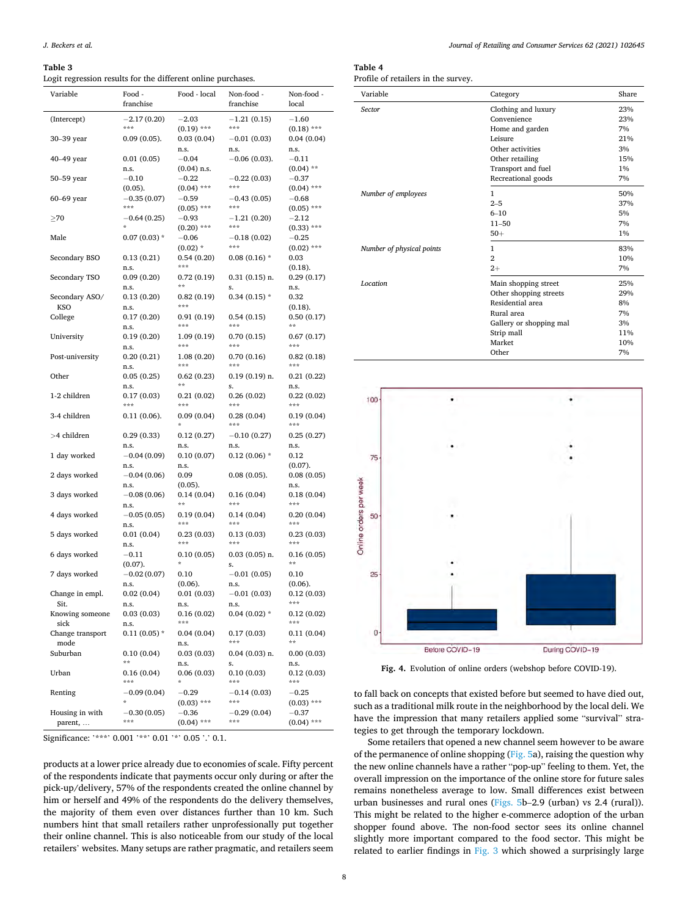### <span id="page-7-0"></span>**Table 3**

Logit regression results for the different online purchases.

| Variable                   | Food -<br>franchise         | Food - local             | Non-food -<br>franchise  | Non-food -<br>local        |
|----------------------------|-----------------------------|--------------------------|--------------------------|----------------------------|
| (Intercept)                | $-2.17(0.20)$<br>***        | $-2.03$<br>$(0.19)$ ***  | $-1.21(0.15)$<br>***     | $-1.60$<br>$(0.18)$ ***    |
| 30–39 year                 | $0.09(0.05)$ .              | 0.03(0.04)<br>n.s.       | $-0.01(0.03)$<br>n.s.    | 0.04(0.04)<br>n.s.         |
| 40-49 year                 | 0.01(0.05)                  | $-0.04$                  | $-0.06(0.03)$ .          | $-0.11$                    |
| 50–59 year                 | n.s.<br>$-0.10$             | $(0.04)$ n.s.<br>$-0.22$ | $-0.22(0.03)$            | $(0.04)$ **<br>$-0.37$     |
| 60-69 year                 | $(0.05)$ .<br>$-0.35(0.07)$ | $(0.04)$ ***<br>$-0.59$  | ***<br>$-0.43(0.05)$     | $(0.04)$ ***<br>$-0.68$    |
| $\geq$ 70                  | ***<br>$-0.64(0.25)$        | $(0.05)$ ***<br>$-0.93$  | ***<br>$-1.21(0.20)$     | $(0.05)$ ***<br>$^{-2.12}$ |
|                            | $\star$                     | $(0.20)$ ***             | ***                      | $(0.33)$ ***               |
| Male                       | $0.07(0.03)$ *              | $-0.06$<br>$(0.02)$ *    | $-0.18(0.02)$<br>***     | $-0.25$<br>$(0.02)$ ***    |
| Secondary BSO              | 0.13(0.21)<br>n.s.          | 0.54(0.20)<br>***        | $0.08(0.16)$ *           | 0.03<br>(0.18).            |
| Secondary TSO              | 0.09(0.20)<br>n.s.          | 0.72(0.19)<br>**         | $0.31(0.15)$ n.<br>s.    | 0.29(0.17)<br>n.s.         |
| Secondary ASO/             | 0.13(0.20)                  | 0.82(0.19)<br>***        | $0.34(0.15)$ *           | 0.32                       |
| KSO<br>College             | n.s.<br>0.17(0.20)          | 0.91(0.19)               | 0.54(0.15)               | $(0.18)$ .<br>0.50(0.17)   |
| University                 | n.s.<br>0.19(0.20)          | ***<br>1.09 (0.19)       | ***<br>0.70(0.15)        | $* *$<br>0.67(0.17)        |
| Post-university            | n.s.<br>0.20(0.21)          | ***<br>1.08(0.20)        | ***<br>0.70(0.16)        | ***<br>0.82(0.18)          |
|                            | n.s.                        | ***                      | ***                      | ***                        |
| Other                      | 0.05(0.25)<br>n.s.          | 0.62(0.23)<br>**         | $0.19(0.19)$ n.<br>s.    | 0.21(0.22)<br>n.s.         |
| 1-2 children               | 0.17(0.03)<br>***           | 0.21(0.02)<br>***        | 0.26(0.02)<br>***        | 0.22(0.02)<br>***          |
| 3-4 children               | $0.11(0.06)$ .              | 0.09(0.04)               | 0.28(0.04)<br>***        | 0.19(0.04)<br>$* * *$      |
| >4 children                | 0.29(0.33)                  | 0.12(0.27)               | $-0.10(0.27)$            | 0.25(0.27)                 |
| 1 day worked               | n.s.<br>$-0.04(0.09)$       | n.s.<br>0.10(0.07)       | n.s.<br>$0.12(0.06)$ *   | n.s.<br>0.12               |
| 2 days worked              | n.s.<br>$-0.04(0.06)$       | n.s.<br>0.09             | $0.08(0.05)$ .           | $(0.07)$ .<br>0.08(0.05)   |
| 3 days worked              | n.s.<br>$-0.08(0.06)$       | $(0.05)$ .<br>0.14(0.04) | 0.16(0.04)               | n.s.<br>0.18(0.04)         |
|                            | n.s.                        | $* *$                    | ***                      | ***                        |
| 4 days worked              | $-0.05(0.05)$<br>n.s.       | 0.19(0.04)<br>***        | 0.14(0.04)<br>***        | 0.20(0.04)<br>***          |
| 5 days worked              | 0.01(0.04)<br>n.s.          | 0.23(0.03)<br>***        | 0.13(0.03)<br>***        | 0.23(0.03)<br>***          |
| 6 days worked              | $-0.11$<br>$(0.07)$ .       | 0.10(0.05)               | $0.03(0.05)$ n.<br>s.    | 0.16(0.05)<br>**           |
| 7 days worked              | $-0.02(0.07)$               | 0.10                     | $-0.01(0.05)$            | 0.10                       |
| Change in empl.            | n.s.<br>0.02(0.04)          | $(0.06)$ .<br>0.01(0.03) | n.s.<br>$-0.01(0.03)$    | $(0.06)$ .<br>0.12(0.03)   |
| Sit.<br>Knowing someone    | n.s.<br>0.03(0.03)          | n.s.<br>0.16(0.02)       | n.s.<br>$0.04(0.02)$ *   | ***<br>0.12(0.02)          |
| sick<br>Change transport   | n.s.<br>$0.11(0.05)$ *      | ***<br>0.04(0.04)        | 0.17(0.03)               | ***<br>0.11(0.04)          |
| mode<br>Suburban           | 0.10(0.04)                  | n.s.<br>0.03(0.03)       | $***$<br>$0.04(0.03)$ n. | **<br>0.00(0.03)           |
|                            | **                          | n.s.                     | s.                       | n.s.                       |
| Urban                      | 0.16 (0.04)<br>***          | 0.06(0.03)               | 0.10(0.03)<br>***        | 0.12(0.03)<br>***          |
| Renting                    | $-0.09(0.04)$               | $-0.29$<br>$(0.03)$ ***  | $-0.14(0.03)$<br>***     | $-0.25$<br>$(0.03)$ ***    |
| Housing in with<br>parent, | $-0.30(0.05)$<br>***        | $-0.36$<br>$(0.04)$ ***  | $-0.29(0.04)$<br>***     | $-0.37$<br>$(0.04)$ ***    |

Significance: '\*\*\*' 0.001 '\*\*' 0.01 '\*' 0.05 '.' 0.1.

products at a lower price already due to economies of scale. Fifty percent of the respondents indicate that payments occur only during or after the pick-up/delivery, 57% of the respondents created the online channel by him or herself and 49% of the respondents do the delivery themselves, the majority of them even over distances further than 10 km. Such numbers hint that small retailers rather unprofessionally put together their online channel. This is also noticeable from our study of the local retailers' websites. Many setups are rather pragmatic, and retailers seem

# **Table 4**

Profile of retailers in the survey.

| Variable                  | Category                | <b>Share</b> |
|---------------------------|-------------------------|--------------|
| <b>Sector</b>             | Clothing and luxury     | 23%          |
|                           | Convenience             | 23%          |
|                           | Home and garden         | 7%           |
|                           | Leisure                 | 21%          |
|                           | Other activities        | 3%           |
|                           | Other retailing         | 15%          |
|                           | Transport and fuel      | 1%           |
|                           | Recreational goods      | 7%           |
| Number of employees       | 1                       | 50%          |
|                           | $2 - 5$                 | 37%          |
|                           | $6 - 10$                | 5%           |
|                           | $11 - 50$               | 7%           |
|                           | $50+$                   | $1\%$        |
| Number of physical points | 1                       | 83%          |
|                           | $\overline{2}$          | 10%          |
|                           | $2+$                    | 7%           |
| <b>Location</b>           | Main shopping street    | 25%          |
|                           | Other shopping streets  | 29%          |
|                           | Residential area        | 8%           |
|                           | Rural area              | 7%           |
|                           | Gallery or shopping mal | 3%           |
|                           | Strip mall              | 11%          |
|                           | Market                  | 10%          |
|                           | Other                   | 7%           |



**Fig. 4.** Evolution of online orders (webshop before COVID-19).

to fall back on concepts that existed before but seemed to have died out, such as a traditional milk route in the neighborhood by the local deli. We have the impression that many retailers applied some "survival" strategies to get through the temporary lockdown.

Some retailers that opened a new channel seem however to be aware of the permanence of online shopping [\(Fig. 5](#page-8-0)a), raising the question why the new online channels have a rather "pop-up" feeling to them. Yet, the overall impression on the importance of the online store for future sales remains nonetheless average to low. Small differences exist between urban businesses and rural ones [\(Figs. 5](#page-8-0)b–2.9 (urban) vs 2.4 (rural)). This might be related to the higher e-commerce adoption of the urban shopper found above. The non-food sector sees its online channel slightly more important compared to the food sector. This might be related to earlier findings in [Fig. 3](#page-5-0) which showed a surprisingly large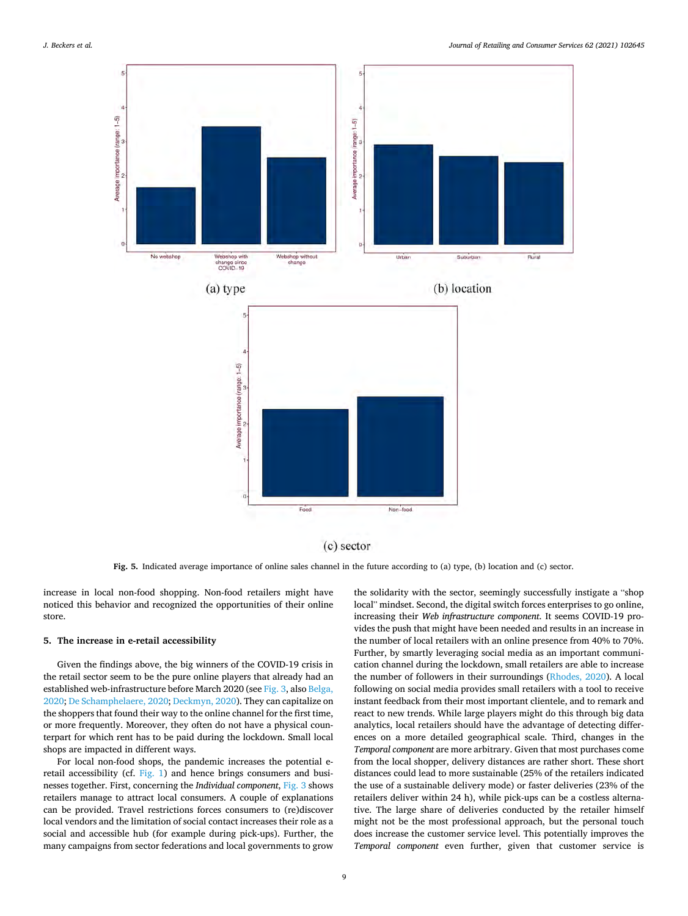<span id="page-8-0"></span>

**Fig. 5.** Indicated average importance of online sales channel in the future according to (a) type, (b) location and (c) sector.

increase in local non-food shopping. Non-food retailers might have noticed this behavior and recognized the opportunities of their online store.

#### **5. The increase in e-retail accessibility**

Given the findings above, the big winners of the COVID-19 crisis in the retail sector seem to be the pure online players that already had an established web-infrastructure before March 2020 (see [Fig. 3,](#page-5-0) also [Belga,](#page-9-0)  [2020;](#page-9-0) [De Schamphelaere, 2020; Deckmyn, 2020](#page-10-0)). They can capitalize on the shoppers that found their way to the online channel for the first time, or more frequently. Moreover, they often do not have a physical counterpart for which rent has to be paid during the lockdown. Small local shops are impacted in different ways.

For local non-food shops, the pandemic increases the potential eretail accessibility (cf. [Fig. 1\)](#page-2-0) and hence brings consumers and businesses together. First, concerning the *Individual component*, [Fig. 3](#page-5-0) shows retailers manage to attract local consumers. A couple of explanations can be provided. Travel restrictions forces consumers to (re)discover local vendors and the limitation of social contact increases their role as a social and accessible hub (for example during pick-ups). Further, the many campaigns from sector federations and local governments to grow

the solidarity with the sector, seemingly successfully instigate a "shop local" mindset. Second, the digital switch forces enterprises to go online, increasing their *Web infrastructure component*. It seems COVID-19 provides the push that might have been needed and results in an increase in the number of local retailers with an online presence from 40% to 70%. Further, by smartly leveraging social media as an important communication channel during the lockdown, small retailers are able to increase the number of followers in their surroundings [\(Rhodes, 2020\)](#page-11-0). A local following on social media provides small retailers with a tool to receive instant feedback from their most important clientele, and to remark and react to new trends. While large players might do this through big data analytics, local retailers should have the advantage of detecting differences on a more detailed geographical scale. Third, changes in the *Temporal component* are more arbitrary. Given that most purchases come from the local shopper, delivery distances are rather short. These short distances could lead to more sustainable (25% of the retailers indicated the use of a sustainable delivery mode) or faster deliveries (23% of the retailers deliver within 24 h), while pick-ups can be a costless alternative. The large share of deliveries conducted by the retailer himself might not be the most professional approach, but the personal touch does increase the customer service level. This potentially improves the *Temporal component* even further, given that customer service is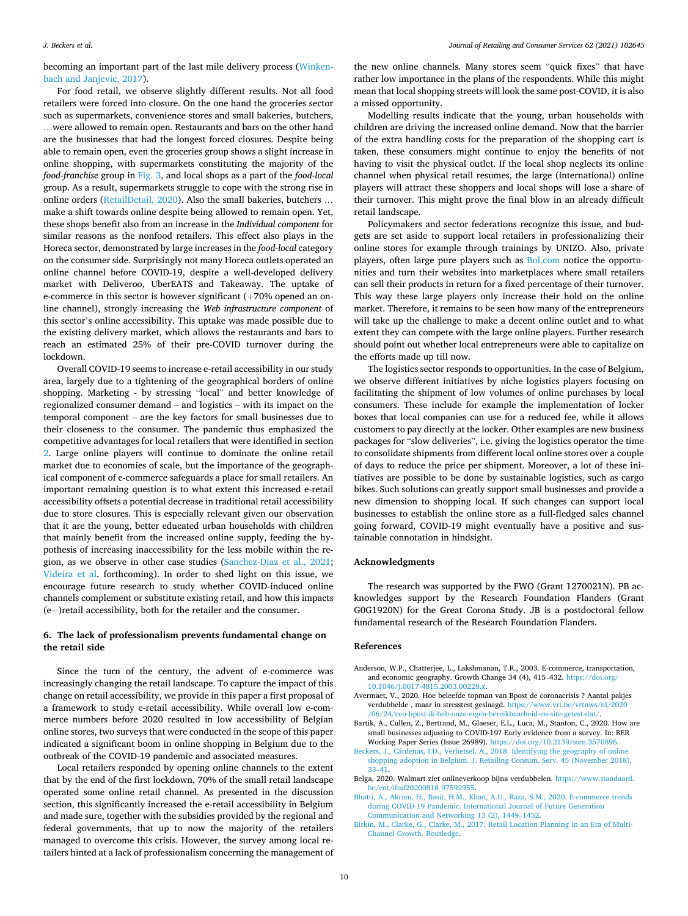<span id="page-9-0"></span>becoming an important part of the last mile delivery process [\(Winken](#page-11-0)[bach and Janjevic, 2017\)](#page-11-0).

For food retail, we observe slightly different results. Not all food retailers were forced into closure. On the one hand the groceries sector such as supermarkets, convenience stores and small bakeries, butchers, …were allowed to remain open. Restaurants and bars on the other hand are the businesses that had the longest forced closures. Despite being able to remain open, even the groceries group shows a slight increase in online shopping, with supermarkets constituting the majority of the *food-franchise* group in [Fig. 3](#page-5-0), and local shops as a part of the *food-local*  group. As a result, supermarkets struggle to cope with the strong rise in online orders ([RetailDetail, 2020\)](#page-11-0). Also the small bakeries, butchers … make a shift towards online despite being allowed to remain open. Yet, these shops benefit also from an increase in the *Individual component* for similar reasons as the nonfood retailers. This effect also plays in the Horeca sector, demonstrated by large increases in the *food-local* category on the consumer side. Surprisingly not many Horeca outlets operated an online channel before COVID-19, despite a well-developed delivery market with Deliveroo, UberEATS and Takeaway. The uptake of e-commerce in this sector is however significant (+70% opened an online channel), strongly increasing the *Web infrastructure component* of this sector's online accessibility. This uptake was made possible due to the existing delivery market, which allows the restaurants and bars to reach an estimated 25% of their pre-COVID turnover during the lockdown.

Overall COVID-19 seems to increase e-retail accessibility in our study area, largely due to a tightening of the geographical borders of online shopping. Marketing - by stressing "local" and better knowledge of regionalized consumer demand – and logistics – with its impact on the temporal component – are the key factors for small businesses due to their closeness to the consumer. The pandemic thus emphasized the competitive advantages for local retailers that were identified in section [2](#page-1-0). Large online players will continue to dominate the online retail market due to economies of scale, but the importance of the geographical component of e-commerce safeguards a place for small retailers. An important remaining question is to what extent this increased e-retail accessibility offsets a potential decrease in traditional retail accessibility due to store closures. This is especially relevant given our observation that it are the young, better educated urban households with children that mainly benefit from the increased online supply, feeding the hypothesis of increasing inaccessibility for the less mobile within the region, as we observe in other case studies [\(Sanchez-Diaz et al., 2021](#page-11-0); [Videira et al.](#page-11-0) forthcoming). In order to shed light on this issue, we encourage future research to study whether COVID-induced online channels complement or substitute existing retail, and how this impacts (e− )retail accessibility, both for the retailer and the consumer.

# **6. The lack of professionalism prevents fundamental change on the retail side**

Since the turn of the century, the advent of e-commerce was increasingly changing the retail landscape. To capture the impact of this change on retail accessibility, we provide in this paper a first proposal of a framework to study e-retail accessibility. While overall low e-commerce numbers before 2020 resulted in low accessibility of Belgian online stores, two surveys that were conducted in the scope of this paper indicated a significant boom in online shopping in Belgium due to the outbreak of the COVID-19 pandemic and associated measures.

Local retailers responded by opening online channels to the extent that by the end of the first lockdown, 70% of the small retail landscape operated some online retail channel. As presented in the discussion section, this significantly increased the e-retail accessibility in Belgium and made sure, together with the subsidies provided by the regional and federal governments, that up to now the majority of the retailers managed to overcome this crisis. However, the survey among local retailers hinted at a lack of professionalism concerning the management of

the new online channels. Many stores seem "quick fixes" that have rather low importance in the plans of the respondents. While this might mean that local shopping streets will look the same post-COVID, it is also a missed opportunity.

Modelling results indicate that the young, urban households with children are driving the increased online demand. Now that the barrier of the extra handling costs for the preparation of the shopping cart is taken, these consumers might continue to enjoy the benefits of not having to visit the physical outlet. If the local shop neglects its online channel when physical retail resumes, the large (international) online players will attract these shoppers and local shops will lose a share of their turnover. This might prove the final blow in an already difficult retail landscape.

Policymakers and sector federations recognize this issue, and budgets are set aside to support local retailers in professionalizing their online stores for example through trainings by UNIZO. Also, private players, often large pure players such as [Bol.com](http://Bol.com) notice the opportunities and turn their websites into marketplaces where small retailers can sell their products in return for a fixed percentage of their turnover. This way these large players only increase their hold on the online market. Therefore, it remains to be seen how many of the entrepreneurs will take up the challenge to make a decent online outlet and to what extent they can compete with the large online players. Further research should point out whether local entrepreneurs were able to capitalize on the efforts made up till now.

The logistics sector responds to opportunities. In the case of Belgium, we observe different initiatives by niche logistics players focusing on facilitating the shipment of low volumes of online purchases by local consumers. These include for example the implementation of locker boxes that local companies can use for a reduced fee, while it allows customers to pay directly at the locker. Other examples are new business packages for "slow deliveries", i.e. giving the logistics operator the time to consolidate shipments from different local online stores over a couple of days to reduce the price per shipment. Moreover, a lot of these initiatives are possible to be done by sustainable logistics, such as cargo bikes. Such solutions can greatly support small businesses and provide a new dimension to shopping local. If such changes can support local businesses to establish the online store as a full-fledged sales channel going forward, COVID-19 might eventually have a positive and sustainable connotation in hindsight.

#### **Acknowledgments**

The research was supported by the FWO (Grant 1270021N). PB acknowledges support by the Research Foundation Flanders (Grant G0G1920N) for the Great Corona Study. JB is a postdoctoral fellow fundamental research of the Research Foundation Flanders.

### **References**

- Anderson, W.P., Chatterjee, L., Lakshmanan, T.R., 2003. E-commerce, transportation, and economic geography. Growth Change 34 (4), 415–432. [https://doi.org/](https://doi.org/10.1046/j.0017-4815.2003.00228.x)  [10.1046/j.0017-4815.2003.00228.x](https://doi.org/10.1046/j.0017-4815.2003.00228.x).
- Avermaet, V., 2020. Hoe beleefde topman van Bpost de coronacrisis ? Aantal pakjes verdubbelde , maar in stresstest geslaagd. [https://www.vrt.be/vrtnws/nl/2020](https://www.vrt.be/vrtnws/nl/2020/06/24/ceo-bpost-ik-heb-onze-eigen-bereikbaarheid-en-site-getest-dat/) [/06/24/ceo-bpost-ik-heb-onze-eigen-bereikbaarheid-en-site-getest-dat/](https://www.vrt.be/vrtnws/nl/2020/06/24/ceo-bpost-ik-heb-onze-eigen-bereikbaarheid-en-site-getest-dat/).
- Bartik, A., Cullen, Z., Bertrand, M., Glaeser, E.L., Luca, M., Stanton, C., 2020. How are small businesses adjusting to COVID-19? Early evidence from a survey. In: BER Working Paper Series (Issue 26989). <https://doi.org/10.2139/ssrn.3570896>.
- Beckers, J., Cárdenas, I.D., Verhetsel, A., 2018. Identifying the geography of online [shopping adoption in Belgium. J. Retailing Consum. Serv. 45 \(November 2018\),](http://refhub.elsevier.com/S0969-6989(21)00211-3/sref4) 33–[41](http://refhub.elsevier.com/S0969-6989(21)00211-3/sref4).
- Belga, 2020. Walmart ziet onlineverkoop bijna verdubbelen. [https://www.standaard.](https://www.standaard.be/cnt/dmf20200818_97592955) [be/cnt/dmf20200818\\_97592955.](https://www.standaard.be/cnt/dmf20200818_97592955)
- [Bhatti, A., Akram, H., Basit, H.M., Khan, A.U., Raza, S.M., 2020. E-commerce trends](http://refhub.elsevier.com/S0969-6989(21)00211-3/sref6)  [during COVID-19 Pandemic. International Journal of Future Generation](http://refhub.elsevier.com/S0969-6989(21)00211-3/sref6) [Communication and Networking 13 \(2\), 1449](http://refhub.elsevier.com/S0969-6989(21)00211-3/sref6)–1452.
- [Birkin, M., Clarke, G., Clarke, M., 2017. Retail Location Planning in an Era of Multi-](http://refhub.elsevier.com/S0969-6989(21)00211-3/sref7)[Channel Growth. Routledge](http://refhub.elsevier.com/S0969-6989(21)00211-3/sref7).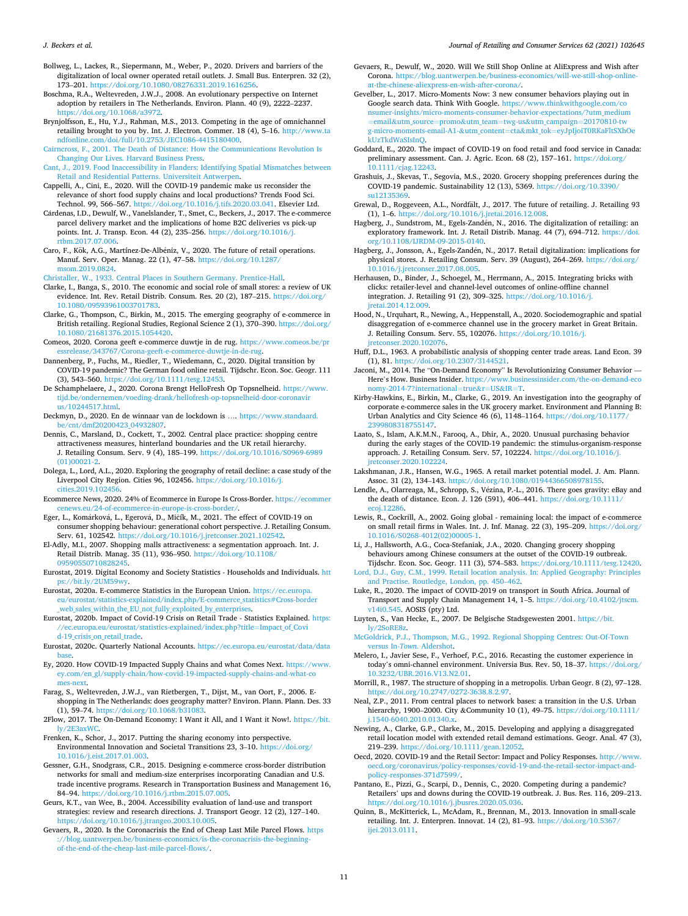- <span id="page-10-0"></span>Bollweg, L., Lackes, R., Siepermann, M., Weber, P., 2020. Drivers and barriers of the digitalization of local owner operated retail outlets. J. Small Bus. Enterpren. 32 (2), 173–201. [https://doi.org/10.1080/08276331.2019.1616256.](https://doi.org/10.1080/08276331.2019.1616256)
- Boschma, R.A., Weltevreden, J.W.J., 2008. An evolutionary perspective on Internet adoption by retailers in The Netherlands. Environ. Plann. 40 (9), 2222–2237. [https://doi.org/10.1068/a3972.](https://doi.org/10.1068/a3972)
- Brynjolfsson, E., Hu, Y.J., Rahman, M.S., 2013. Competing in the age of omnichannel retailing brought to you by. Int. J. Electron. Commer. 18 (4), 5–16. [http://www.ta](http://www.tandfonline.com/doi/full/10.2753/JEC1086-4415180400) [ndfonline.com/doi/full/10.2753/JEC1086-4415180400.](http://www.tandfonline.com/doi/full/10.2753/JEC1086-4415180400)
- [Cairncross, F., 2001. The Death of Distance: How the Communications Revolution Is](http://refhub.elsevier.com/S0969-6989(21)00211-3/sref11)  [Changing Our Lives. Harvard Business Press](http://refhub.elsevier.com/S0969-6989(21)00211-3/sref11).
- [Cant, J., 2019. Food Inaccessibility in Flanders: Identifying Spatial Mismatches between](http://refhub.elsevier.com/S0969-6989(21)00211-3/sref12)  [Retail and Residential Patterns. Universiteit Antwerpen](http://refhub.elsevier.com/S0969-6989(21)00211-3/sref12).
- Cappelli, A., Cini, E., 2020. Will the COVID-19 pandemic make us reconsider the relevance of short food supply chains and local productions? Trends Food Sci. Technol. 99, 566–567. [https://doi.org/10.1016/j.tifs.2020.03.041.](https://doi.org/10.1016/j.tifs.2020.03.041) Elsevier Ltd.
- Cárdenas, I.D., Dewulf, W., Vanelslander, T., Smet, C., Beckers, J., 2017. The e-commerce parcel delivery market and the implications of home B2C deliveries vs pick-up points. Int. J. Transp. Econ. 44 (2), 235–256. [https://doi.org/10.1016/j.](https://doi.org/10.1016/j.rtbm.2017.07.006) [rtbm.2017.07.006.](https://doi.org/10.1016/j.rtbm.2017.07.006)
- Caro, F., Kök, A.G., Martínez-De-Albéniz, V., 2020. The future of retail operations. Manuf. Serv. Oper. Manag. 22 (1), 47–58. [https://doi.org/10.1287/](https://doi.org/10.1287/msom.2019.0824) [msom.2019.0824.](https://doi.org/10.1287/msom.2019.0824)

[Christaller, W., 1933. Central Places in Southern Germany. Prentice-Hall.](http://refhub.elsevier.com/S0969-6989(21)00211-3/sref16)

- Clarke, I., Banga, S., 2010. The economic and social role of small stores: a review of UK evidence. Int. Rev. Retail Distrib. Consum. Res. 20 (2), 187–215. [https://doi.org/](https://doi.org/10.1080/09593961003701783) [10.1080/09593961003701783](https://doi.org/10.1080/09593961003701783).
- Clarke, G., Thompson, C., Birkin, M., 2015. The emerging geography of e-commerce in British retailing. Regional Studies, Regional Science 2 (1), 370–390. [https://doi.org/](https://doi.org/10.1080/21681376.2015.1054420)  [10.1080/21681376.2015.1054420.](https://doi.org/10.1080/21681376.2015.1054420)
- Comeos, 2020. Corona geeft e-commerce duwtje in de rug. [https://www.comeos.be/pr](https://www.comeos.be/pressrelease/343767/Corona-geeft-e-commerce-duwtje-in-de-rug) [essrelease/343767/Corona-geeft-e-commerce-duwtje-in-de-rug.](https://www.comeos.be/pressrelease/343767/Corona-geeft-e-commerce-duwtje-in-de-rug)
- Dannenberg, P., Fuchs, M., Riedler, T., Wiedemann, C., 2020. Digital transition by COVID-19 pandemic? The German food online retail. Tijdschr. Econ. Soc. Geogr. 111 (3), 543–560.<https://doi.org/10.1111/tesg.12453>.
- De Schamphelaere, J., 2020. Corona Brengt HelloFresh Op Topsnelheid. [https://www.](https://www.tijd.be/ondernemen/voeding-drank/hellofresh-op-topsnelheid-door-coronavirus/10244517.html) [tijd.be/ondernemen/voeding-drank/hellofresh-op-topsnelheid-door-coronavir](https://www.tijd.be/ondernemen/voeding-drank/hellofresh-op-topsnelheid-door-coronavirus/10244517.html)  [us/10244517.html.](https://www.tijd.be/ondernemen/voeding-drank/hellofresh-op-topsnelheid-door-coronavirus/10244517.html)
- Deckmyn, D., 2020. En de winnaar van de lockdown is …. [https://www.standaard.](https://www.standaard.be/cnt/dmf20200423_04932807)  [be/cnt/dmf20200423\\_04932807.](https://www.standaard.be/cnt/dmf20200423_04932807)
- Dennis, C., Marsland, D., Cockett, T., 2002. Central place practice: shopping centre attractiveness measures, hinterland boundaries and the UK retail hierarchy. J. Retailing Consum. Serv. 9 (4), 185–199. [https://doi.org/10.1016/S0969-6989](https://doi.org/10.1016/S0969-6989(01)00021-2) [\(01\)00021-2](https://doi.org/10.1016/S0969-6989(01)00021-2).
- Dolega, L., Lord, A.L., 2020. Exploring the geography of retail decline: a case study of the Liverpool City Region. Cities 96, 102456. [https://doi.org/10.1016/j.](https://doi.org/10.1016/j.cities.2019.102456) [cities.2019.102456.](https://doi.org/10.1016/j.cities.2019.102456)
- Ecommerce News, 2020. 24% of Ecommerce in Europe Is Cross-Border. [https://ecommer](https://ecommercenews.eu/24-of-ecommerce-in-europe-is-cross-border/)  [cenews.eu/24-of-ecommerce-in-europe-is-cross-border/.](https://ecommercenews.eu/24-of-ecommerce-in-europe-is-cross-border/)
- Eger, L., Komárková, L., Egerová, D., Mičík, M., 2021. The effect of COVID-19 on consumer shopping behaviour: generational cohort perspective. J. Retailing Consum. Serv. 61, 102542.<https://doi.org/10.1016/j.jretconser.2021.102542>.
- El-Adly, M.I., 2007. Shopping malls attractiveness: a segmentation approach. Int. J. Retail Distrib. Manag. 35 (11), 936–950. [https://doi.org/10.1108/](https://doi.org/10.1108/09590550710828245)  [09590550710828245.](https://doi.org/10.1108/09590550710828245)
- Eurostat, 2019. Digital Economy and Society Statistics Households and Individuals. [htt](https://bit.ly/2UM59wy)  [ps://bit.ly/2UM59wy.](https://bit.ly/2UM59wy)
- Eurostat, 2020a. E-commerce Statistics in the European Union. [https://ec.europa.](https://ec.europa.eu/eurostat/statistics-explained/index.php/E-commerce_statistics#Cross-border_web_sales_within_the_EU_not_fully_exploited_by_enterprises)  [eu/eurostat/statistics-explained/index.php/E-commerce\\_statistics#Cross-border](https://ec.europa.eu/eurostat/statistics-explained/index.php/E-commerce_statistics#Cross-border_web_sales_within_the_EU_not_fully_exploited_by_enterprises)  web sales within the EU not fully exploited by enterprises.
- Eurostat, 2020b. Impact of Covid-19 Crisis on Retail Trade Statistics Explained. [https:](https://ec.europa.eu/eurostat/statistics-explained/index.php?title=Impact_of_Covid-19_crisis_on_retail_trade)  [//ec.europa.eu/eurostat/statistics-explained/index.php?title](https://ec.europa.eu/eurostat/statistics-explained/index.php?title=Impact_of_Covid-19_crisis_on_retail_trade)=Impact\_of\_Covi d-19 crisis on retail trade.
- Eurostat, 2020c. Quarterly National Accounts. [https://ec.europa.eu/eurostat/data/data](https://ec.europa.eu/eurostat/data/database) [base.](https://ec.europa.eu/eurostat/data/database)
- Ey, 2020. How COVID-19 Impacted Supply Chains and what Comes Next. [https://www.](https://www.ey.com/en_gl/supply-chain/how-covid-19-impacted-supply-chains-and-what-comes-next)  [ey.com/en\\_gl/supply-chain/how-covid-19-impacted-supply-chains-and-what-co](https://www.ey.com/en_gl/supply-chain/how-covid-19-impacted-supply-chains-and-what-comes-next)  [mes-next.](https://www.ey.com/en_gl/supply-chain/how-covid-19-impacted-supply-chains-and-what-comes-next)
- Farag, S., Weltevreden, J.W.J., van Rietbergen, T., Dijst, M., van Oort, F., 2006. Eshopping in The Netherlands: does geography matter? Environ. Plann. Plann. Des. 33 (1), 59–74. [https://doi.org/10.1068/b31083.](https://doi.org/10.1068/b31083)
- 2Flow, 2017. The On-Demand Economy: I Want it All, and I Want it Now!. [https://bit.](https://bit.ly/2E3axWC) [ly/2E3axWC](https://bit.ly/2E3axWC).
- Frenken, K., Schor, J., 2017. Putting the sharing economy into perspective. Environmental Innovation and Societal Transitions 23, 3–10. [https://doi.org/](https://doi.org/10.1016/j.eist.2017.01.003)  [10.1016/j.eist.2017.01.003](https://doi.org/10.1016/j.eist.2017.01.003).
- Gessner, G.H., Snodgrass, C.R., 2015. Designing e-commerce cross-border distribution networks for small and medium-size enterprises incorporating Canadian and U.S. trade incentive programs. Research in Transportation Business and Management 16, 84–94. [https://doi.org/10.1016/j.rtbm.2015.07.005.](https://doi.org/10.1016/j.rtbm.2015.07.005)
- Geurs, K.T., van Wee, B., 2004. Accessibility evaluation of land-use and transport strategies: review and research directions. J. Transport Geogr. 12 (2), 127–140. [https://doi.org/10.1016/j.jtrangeo.2003.10.005.](https://doi.org/10.1016/j.jtrangeo.2003.10.005)
- Gevaers, R., 2020. Is the Coronacrisis the End of Cheap Last Mile Parcel Flows. [https](https://blog.uantwerpen.be/business-economics/is-the-coronacrisis-the-beginning-of-the-end-of-the-cheap-last-mile-parcel-flows/) [://blog.uantwerpen.be/business-economics/is-the-coronacrisis-the-beginning](https://blog.uantwerpen.be/business-economics/is-the-coronacrisis-the-beginning-of-the-end-of-the-cheap-last-mile-parcel-flows/)[of-the-end-of-the-cheap-last-mile-parcel-flows/](https://blog.uantwerpen.be/business-economics/is-the-coronacrisis-the-beginning-of-the-end-of-the-cheap-last-mile-parcel-flows/).
- Gevaers, R., Dewulf, W., 2020. Will We Still Shop Online at AliExpress and Wish after Corona. [https://blog.uantwerpen.be/business-economics/will-we-still-shop-online](https://blog.uantwerpen.be/business-economics/will-we-still-shop-online-at-the-chinese-aliexpress-en-wish-after-corona/)[at-the-chinese-aliexpress-en-wish-after-corona/](https://blog.uantwerpen.be/business-economics/will-we-still-shop-online-at-the-chinese-aliexpress-en-wish-after-corona/).
- Gevelber, L., 2017. Micro-Moments Now: 3 new consumer behaviors playing out in Google search data. Think With Google. [https://www.thinkwithgoogle.com/co](https://www.thinkwithgoogle.com/consumer-insights/micro-moments-consumer-behavior-expectations/?utm_medium=email&utm_source=promo&utm_team=twg-us&utm_campaign=20170810-twg-micro-moments-email-A1-&utm_content=cta&mkt_tok=eyJpIjoiT0RKaFltSXhOekUzTkdWaSIsInQ) [nsumer-insights/micro-moments-consumer-behavior-expectations/?utm\\_medium](https://www.thinkwithgoogle.com/consumer-insights/micro-moments-consumer-behavior-expectations/?utm_medium=email&utm_source=promo&utm_team=twg-us&utm_campaign=20170810-twg-micro-moments-email-A1-&utm_content=cta&mkt_tok=eyJpIjoiT0RKaFltSXhOekUzTkdWaSIsInQ) =email&utm\_source=promo&utm\_team=twg-us&[utm\\_campaign](https://www.thinkwithgoogle.com/consumer-insights/micro-moments-consumer-behavior-expectations/?utm_medium=email&utm_source=promo&utm_team=twg-us&utm_campaign=20170810-twg-micro-moments-email-A1-&utm_content=cta&mkt_tok=eyJpIjoiT0RKaFltSXhOekUzTkdWaSIsInQ)=20170810-tw [g-micro-moments-email-A1-](https://www.thinkwithgoogle.com/consumer-insights/micro-moments-consumer-behavior-expectations/?utm_medium=email&utm_source=promo&utm_team=twg-us&utm_campaign=20170810-twg-micro-moments-email-A1-&utm_content=cta&mkt_tok=eyJpIjoiT0RKaFltSXhOekUzTkdWaSIsInQ)&utm\_content=cta&mkt\_tok=eyJpIjoiT0RKaFltSXhOe [kUzTkdWaSIsInQ.](https://www.thinkwithgoogle.com/consumer-insights/micro-moments-consumer-behavior-expectations/?utm_medium=email&utm_source=promo&utm_team=twg-us&utm_campaign=20170810-twg-micro-moments-email-A1-&utm_content=cta&mkt_tok=eyJpIjoiT0RKaFltSXhOekUzTkdWaSIsInQ)
- Goddard, E., 2020. The impact of COVID-19 on food retail and food service in Canada: preliminary assessment. Can. J. Agric. Econ. 68 (2), 157-161. [https://doi.org/](https://doi.org/10.1111/cjag.12243) [10.1111/cjag.12243](https://doi.org/10.1111/cjag.12243).
- Grashuis, J., Skevas, T., Segovia, M.S., 2020. Grocery shopping preferences during the COVID-19 pandemic. Sustainability 12 (13), 5369. [https://doi.org/10.3390/](https://doi.org/10.3390/su12135369)
- [su12135369](https://doi.org/10.3390/su12135369).<br>Grewal, D., Roggeveen, A.L., Nordfält, J., 2017. The future of retailing. J. Retailing 93 (1), 1–6. <https://doi.org/10.1016/j.jretai.2016.12.008>.
- Hagberg, J., Sundstrom, M., Egels-Zandén, N., 2016. The digitalization of retailing: an exploratory framework. Int. J. Retail Distrib. Manag. 44 (7), 694–712. [https://doi.](https://doi.org/10.1108/IJRDM-09-2015-0140) [org/10.1108/IJRDM-09-2015-0140.](https://doi.org/10.1108/IJRDM-09-2015-0140)
- Hagberg, J., Jonsson, A., Egels-Zandén, N., 2017. Retail digitalization: implications for physical stores. J. Retailing Consum. Serv. 39 (August), 264–269. [https://doi.org/](https://doi.org/10.1016/j.jretconser.2017.08.005) [10.1016/j.jretconser.2017.08.005](https://doi.org/10.1016/j.jretconser.2017.08.005).
- Herhausen, D., Binder, J., Schoegel, M., Herrmann, A., 2015. Integrating bricks with clicks: retailer-level and channel-level outcomes of online-offline channel integration. J. Retailing 91 (2), 309–325. [https://doi.org/10.1016/j.](https://doi.org/10.1016/j.jretai.2014.12.009)  [jretai.2014.12.009](https://doi.org/10.1016/j.jretai.2014.12.009).
- Hood, N., Urquhart, R., Newing, A., Heppenstall, A., 2020. Sociodemographic and spatial disaggregation of e-commerce channel use in the grocery market in Great Britain. J. Retailing Consum. Serv. 55, 102076. [https://doi.org/10.1016/j.](https://doi.org/10.1016/j.jretconser.2020.102076)  [jretconser.2020.102076.](https://doi.org/10.1016/j.jretconser.2020.102076)
- Huff, D.L., 1963. A probabilistic analysis of shopping center trade areas. Land Econ. 39 (1), 81. [https://doi.org/10.2307/3144521.](https://doi.org/10.2307/3144521)
- Jaconi, M., 2014. The "On-Demand Economy" Is Revolutionizing Consumer Behavior Here's How. Business Insider. [https://www.businessinsider.com/the-on-demand-eco](https://www.businessinsider.com/the-on-demand-economy-2014-7?international=true&r=US&IR=T)  [nomy-2014-7?international](https://www.businessinsider.com/the-on-demand-economy-2014-7?international=true&r=US&IR=T)=true&r=US&IR=T.
- Kirby-Hawkins, E., Birkin, M., Clarke, G., 2019. An investigation into the geography of corporate e-commerce sales in the UK grocery market. Environment and Planning B: Urban Analytics and City Science 46 (6), 1148–1164. [https://doi.org/10.1177/](https://doi.org/10.1177/2399808318755147)  [2399808318755147.](https://doi.org/10.1177/2399808318755147)
- Laato, S., Islam, A.K.M.N., Farooq, A., Dhir, A., 2020. Unusual purchasing behavior during the early stages of the COVID-19 pandemic: the stimulus-organism-response approach. J. Retailing Consum. Serv. 57, 102224. [https://doi.org/10.1016/j.](https://doi.org/10.1016/j.jretconser.2020.102224)  iretconser.2020.10222
- Lakshmanan, J.R., Hansen, W.G., 1965. A retail market potential model. J. Am. Plann. Assoc. 31 (2), 134–143. <https://doi.org/10.1080/01944366508978155>.
- Lendle, A., Olarreaga, M., Schropp, S., Vézina, P.-L., 2016. There goes gravity: eBay and the death of distance. Econ. J. 126 (591), 406–441. [https://doi.org/10.1111/](https://doi.org/10.1111/ecoj.12286)  [ecoj.12286.](https://doi.org/10.1111/ecoj.12286)
- Lewis, R., Cockrill, A., 2002. Going global remaining local: the impact of e-commerce on small retail firms in Wales. Int. J. Inf. Manag. 22 (3), 195–209. [https://doi.org/](https://doi.org/10.1016/S0268-4012(02)00005-1)  [10.1016/S0268-4012\(02\)00005-1.](https://doi.org/10.1016/S0268-4012(02)00005-1)

Li, J., Hallsworth, A.G., Coca-Stefaniak, J.A., 2020. Changing grocery shopping behaviours among Chinese consumers at the outset of the COVID-19 outbreak. Tijdschr. Econ. Soc. Geogr. 111 (3), 574–583. [https://doi.org/10.1111/tesg.12420.](https://doi.org/10.1111/tesg.12420)

- [Lord, D.J., Guy, C.M., 1999. Retail location analysis. In: Applied Geography: Principles](http://refhub.elsevier.com/S0969-6989(21)00211-3/sref56)  [and Practise. Routledge, London, pp. 450](http://refhub.elsevier.com/S0969-6989(21)00211-3/sref56)–462.
- Luke, R., 2020. The impact of COVID-2019 on transport in South Africa. Journal of Transport and Supply Chain Management 14, 1–5. [https://doi.org/10.4102/jtscm.](https://doi.org/10.4102/jtscm.v14i0.545) [v14i0.545](https://doi.org/10.4102/jtscm.v14i0.545). AOSIS (pty) Ltd.
- Luyten, S., Van Hecke, E., 2007. De Belgische Stadsgewesten 2001. [https://bit.](https://bit.ly/2SoRE8z) [ly/2SoRE8z.](https://bit.ly/2SoRE8z)
- [McGoldrick, P.J., Thompson, M.G., 1992. Regional Shopping Centres: Out-Of-Town](http://refhub.elsevier.com/S0969-6989(21)00211-3/sref59) versus In*-Town*[. Aldershot](http://refhub.elsevier.com/S0969-6989(21)00211-3/sref59).
- Melero, I., Javier Sese, F., Verhoef, P.C., 2016. Recasting the customer experience in today's omni-channel environment. Universia Bus. Rev. 50, 18–37. [https://doi.org/](https://doi.org/10.3232/UBR.2016.V13.N2.01)  [10.3232/UBR.2016.V13.N2.01.](https://doi.org/10.3232/UBR.2016.V13.N2.01)
- Morrill, R., 1987. The structure of shopping in a metropolis. Urban Geogr. 8 (2), 97–128. [https://doi.org/10.2747/0272-3638.8.2.97.](https://doi.org/10.2747/0272-3638.8.2.97)
- Neal, Z.P., 2011. From central places to network bases: a transition in the U.S. Urban hierarchy, 1900–2000. City &Community 10 (1), 49–75. [https://doi.org/10.1111/](https://doi.org/10.1111/j.1540-6040.2010.01340.x)  [j.1540-6040.2010.01340.x.](https://doi.org/10.1111/j.1540-6040.2010.01340.x)
- Newing, A., Clarke, G.P., Clarke, M., 2015. Developing and applying a disaggregated retail location model with extended retail demand estimations. Geogr. Anal. 47 (3), 219–239. <https://doi.org/10.1111/gean.12052>.
- Oecd, 2020. COVID-19 and the Retail Sector: Impact and Policy Responses. [http://www.](http://www.oecd.org/coronavirus/policy-responses/covid-19-and-the-retail-sector-impact-and-policy-responses-371d7599/)  [oecd.org/coronavirus/policy-responses/covid-19-and-the-retail-sector-impact-and](http://www.oecd.org/coronavirus/policy-responses/covid-19-and-the-retail-sector-impact-and-policy-responses-371d7599/)[policy-responses-371d7599/.](http://www.oecd.org/coronavirus/policy-responses/covid-19-and-the-retail-sector-impact-and-policy-responses-371d7599/)
- Pantano, E., Pizzi, G., Scarpi, D., Dennis, C., 2020. Competing during a pandemic? Retailers' ups and downs during the COVID-19 outbreak. J. Bus. Res. 116, 209–213. <https://doi.org/10.1016/j.jbusres.2020.05.036>.
- Quinn, B., McKitterick, L., McAdam, R., Brennan, M., 2013. Innovation in small-scale retailing. Int. J. Enterpren. Innovat. 14 (2), 81–93. [https://doi.org/10.5367/](https://doi.org/10.5367/ijei.2013.0111) [ijei.2013.0111.](https://doi.org/10.5367/ijei.2013.0111)